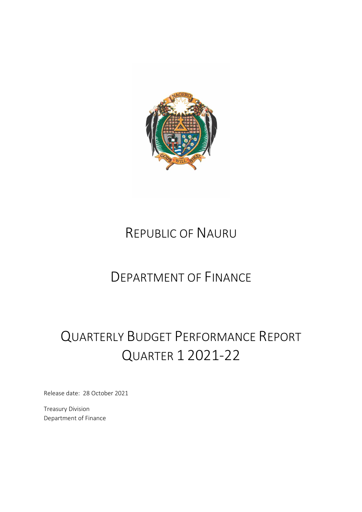

# REPUBLIC OF NAURU

# DEPARTMENT OF FINANCE

# QUARTERLY BUDGET PERFORMANCE REPORT QUARTER 1 2021-22

Release date: 28 October 2021

Treasury Division Department of Finance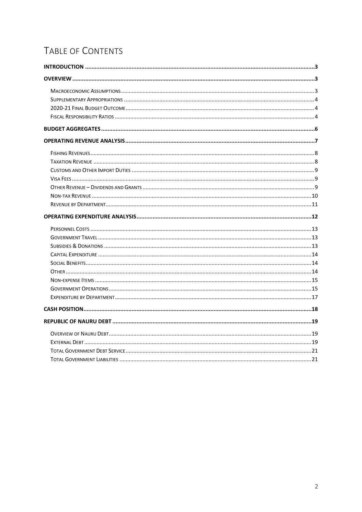# TABLE OF CONTENTS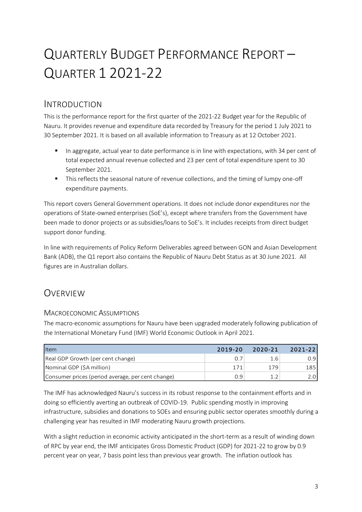# QUARTERLY BUDGET PERFORMANCE REPORT – QUARTER 1 2021-22

## <span id="page-2-0"></span>INTRODUCTION

This is the performance report for the first quarter of the 2021-22 Budget year for the Republic of Nauru. It provides revenue and expenditure data recorded by Treasury for the period 1 July 2021 to 30 September 2021. It is based on all available information to Treasury as at 12 October 2021.

- In aggregate, actual year to date performance is in line with expectations, with 34 per cent of total expected annual revenue collected and 23 per cent of total expenditure spent to 30 September 2021.
- This reflects the seasonal nature of revenue collections, and the timing of lumpy one-off expenditure payments.

This report covers General Government operations. It does not include donor expenditures nor the operations of State-owned enterprises (SoE's), except where transfers from the Government have been made to donor projects or as subsidies/loans to SoE's. It includes receipts from direct budget support donor funding.

In line with requirements of Policy Reform Deliverables agreed between GON and Asian Development Bank (ADB), the Q1 report also contains the Republic of Nauru Debt Status as at 30 June 2021. All figures are in Australian dollars.

## <span id="page-2-1"></span>OVERVIEW

## <span id="page-2-2"></span>MACROECONOMIC ASSUMPTIONS

The macro-economic assumptions for Nauru have been upgraded moderately following publication of the International Monetary Fund (IMF) World Economic Outlook in April 2021.

| <b>I</b> tem                                      | 2019-20 | 2020-21 | $2021 - 22$ |
|---------------------------------------------------|---------|---------|-------------|
| Real GDP Growth (per cent change)                 |         | 1.6     | 0.9         |
| Nominal GDP (\$A million)                         | 171     | 179     | 185         |
| Consumer prices (period average, per cent change) | ი 9     |         |             |

The IMF has acknowledged Nauru's success in its robust response to the containment efforts and in doing so efficiently averting an outbreak of COVID-19. Public spending mostly in improving infrastructure, subsidies and donations to SOEs and ensuring public sector operates smoothly during a challenging year has resulted in IMF moderating Nauru growth projections.

With a slight reduction in economic activity anticipated in the short-term as a result of winding down of RPC by year end, the IMF anticipates Gross Domestic Product (GDP) for 2021-22 to grow by 0.9 percent year on year, 7 basis point less than previous year growth. The inflation outlook has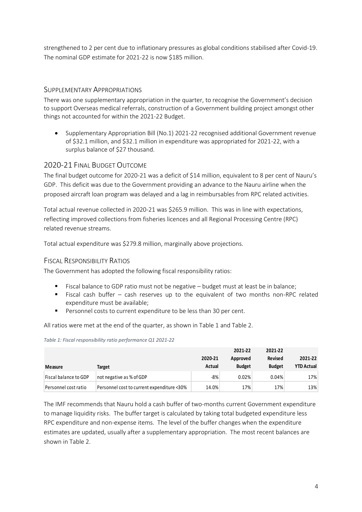strengthened to 2 per cent due to inflationary pressures as global conditions stabilised after Covid-19. The nominal GDP estimate for 2021-22 is now \$185 million.

## <span id="page-3-0"></span>SUPPLEMENTARY APPROPRIATIONS

There was one supplementary appropriation in the quarter, to recognise the Government's decision to support Overseas medical referrals, construction of a Government building project amongst other things not accounted for within the 2021-22 Budget.

• Supplementary Appropriation Bill (No.1) 2021-22 recognised additional Government revenue of \$32.1 million, and \$32.1 million in expenditure was appropriated for 2021-22, with a surplus balance of \$27 thousand.

## <span id="page-3-1"></span>2020-21 FINAL BUDGET OUTCOME

The final budget outcome for 2020-21 was a deficit of \$14 million, equivalent to 8 per cent of Nauru's GDP. This deficit was due to the Government providing an advance to the Nauru airline when the proposed aircraft loan program was delayed and a lag in reimbursables from RPC related activities.

Total actual revenue collected in 2020-21 was \$265.9 million. This was in line with expectations, reflecting improved collections from fisheries licences and all Regional Processing Centre (RPC) related revenue streams.

Total actual expenditure was \$279.8 million, marginally above projections.

## <span id="page-3-2"></span>FISCAL RESPONSIBILITY RATIOS

The Government has adopted the following fiscal responsibility ratios:

- Fiscal balance to GDP ratio must not be negative budget must at least be in balance;
- $\blacksquare$  Fiscal cash buffer cash reserves up to the equivalent of two months non-RPC related expenditure must be available;
- Personnel costs to current expenditure to be less than 30 per cent.

All ratios were met at the end of the quarter, as shown in Table 1 and Table 2.

|                       |                                            | 2020-21 | 2021-22<br>Approved | 2021-22<br>Revised | 2021-22           |
|-----------------------|--------------------------------------------|---------|---------------------|--------------------|-------------------|
| Measure               | Target                                     | Actual  | <b>Budget</b>       | <b>Budget</b>      | <b>YTD Actual</b> |
| Fiscal balance to GDP | not negative as % of GDP                   | $-8%$   | 0.02%               | 0.04%              | 17%               |
| Personnel cost ratio  | Personnel cost to current expenditure <30% | 14.0%   | 17%                 | 17%                | 13%               |

#### *Table 1: Fiscal responsibility ratio performance Q1 2021-22*

The IMF recommends that Nauru hold a cash buffer of two-months current Government expenditure to manage liquidity risks. The buffer target is calculated by taking total budgeted expenditure less RPC expenditure and non-expense items. The level of the buffer changes when the expenditure estimates are updated, usually after a supplementary appropriation. The most recent balances are shown in Table 2.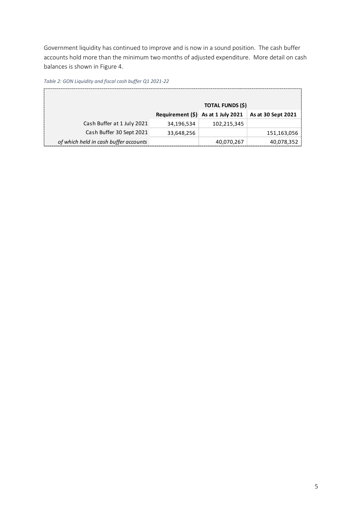Government liquidity has continued to improve and is now in a sound position. The cash buffer accounts hold more than the minimum two months of adjusted expenditure. More detail on cash balances is shown in Figure 4.

*Table 2: GON Liquidity and fiscal cash buffer Q1 2021-22*

|                                       |            | <b>TOTAL FUNDS (\$)</b>               |                    |
|---------------------------------------|------------|---------------------------------------|--------------------|
|                                       |            | Requirement $(\xi)$ As at 1 July 2021 | As at 30 Sept 2021 |
| Cash Buffer at 1 July 2021            | 34.196.534 | 102,215,345                           |                    |
| Cash Buffer 30 Sept 2021              | 33,648,256 |                                       | 151,163,056        |
| of which held in cash buffer accounts |            | 40,070,267                            | 40,078,352         |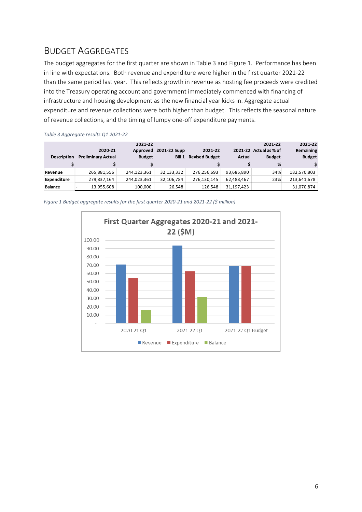## <span id="page-5-0"></span>BUDGET AGGREGATES

The budget aggregates for the first quarter are shown in Table 3 and Figure 1. Performance has been in line with expectations. Both revenue and expenditure were higher in the first quarter 2021-22 than the same period last year. This reflects growth in revenue as hosting fee proceeds were credited into the Treasury operating account and government immediately commenced with financing of infrastructure and housing development as the new financial year kicks in. Aggregate actual expenditure and revenue collections were both higher than budget. This reflects the seasonal nature of revenue collections, and the timing of lumpy one-off expenditure payments.

| --                 |                           |               |              |                       |               |                        |               |
|--------------------|---------------------------|---------------|--------------|-----------------------|---------------|------------------------|---------------|
|                    |                           | 2021-22       |              |                       |               | 2021-22                | 2021-22       |
|                    | 2020-21                   | Approved      | 2021-22 Supp | 2021-22               |               | 2021-22 Actual as % of | Remaining     |
| <b>Description</b> | <b>Preliminary Actual</b> | <b>Budget</b> | Bill 1       | <b>Revised Budget</b> | <b>Actual</b> | <b>Budget</b>          | <b>Budget</b> |
|                    |                           |               |              |                       |               | %                      |               |
| Revenue            | 265,881,556               | 244,123,361   | 32,133,332   | 276,256,693           | 93,685,890    | 34%                    | 182,570,803   |
| <b>Expenditure</b> | 279,837,164               | 244,023,361   | 32,106,784   | 276,130,145           | 62,488,467    | 23%                    | 213,641,678   |
| <b>Balance</b>     | 13,955,608                | 100.000       | 26,548       | 126,548               | 31,197,423    |                        | 31,070,874    |

*Table 3 Aggregate results Q1 2021-22*

*Figure 1 Budget aggregate results for the first quarter 2020-21 and 2021-22 (\$ million)*

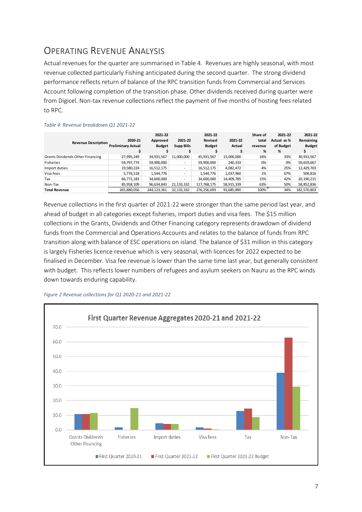# <span id="page-6-0"></span>OPERATING REVENUE ANALYSIS

Actual revenues for the quarter are summarised in Table 4. Revenues are highly seasonal, with most revenue collected particularly Fishing anticipated during the second quarter. The strong dividend performance reflects return of balance of the RPC transition funds from Commercial and Services Account following completion of the transition phase. Other dividends received during quarter were from Digicel. Non-tax revenue collections reflect the payment of five months of hosting fees related to RPC.

| <b>Revenue Description</b>       | 2020-21<br><b>Preliminary Actual</b> | 2021-22<br>Approved<br><b>Budget</b> | 2021-22<br><b>Supp Bills</b> | 2021-22<br>Revised<br><b>Budget</b> | 2021-22<br>Actual | Share of<br>total<br>revenue<br>% | 2021-22<br>Actual as %<br>of Budget<br>% | 2021-22<br>Remaining<br><b>Budget</b> |
|----------------------------------|--------------------------------------|--------------------------------------|------------------------------|-------------------------------------|-------------------|-----------------------------------|------------------------------------------|---------------------------------------|
| Grants Dividends Other Financing | 27,995,249                           | 34,931,567                           | 11,000,000                   | 45,931,567                          | 15,000,000        | 16%                               | 33%                                      | 30,931,567                            |
| Fisheries                        | 59,797,774                           | 59,900,000                           | $\overline{\phantom{a}}$     | 59,900,000                          | 240,333           | 0%                                | 0%                                       | 59,659,667                            |
| Import duties                    | 19,580,224                           | 16,512,175                           | $\overline{\phantom{a}}$     | 16,512,175                          | 4,082,472         | 4%                                | 25%                                      | 12,429,703                            |
| Visa fees                        | 5,776,518                            | 1,544,776                            | $\overline{\phantom{a}}$     | 1,544,776                           | 1,037,960         | 1%                                | 67%                                      | 506,816                               |
| Tax                              | 66,772,183                           | 34,600,000                           | $\overline{\phantom{a}}$     | 34,600,000                          | 14,409,785        | 15%                               | 42%                                      | 20, 190, 215                          |
| Non-Tax                          | 85,958,109                           | 96,634,843                           | 21, 133, 332                 | 117,768,175                         | 58,915,339        | 63%                               | 50%                                      | 58,852,836                            |
| <b>Total Revenue</b>             | 265,880,056                          | 244, 123, 361                        | 32, 133, 332                 | 276,256,693                         | 93,685,890        | 100%                              | 34%                                      | 182,570,803                           |

#### *Table 4: Revenue breakdown Q1 2021-22*

Revenue collections in the first quarter of 2021-22 were stronger than the same period last year, and ahead of budget in all categories except fisheries, import duties and visa fees. The \$15 million collections in the Grants, Dividends and Other Financing category represents drawdown of dividend funds from the Commercial and Operations Accounts and relates to the balance of funds from RPC transition along with balance of ESC operations on island. The balance of \$31 million in this category is largely Fisheries licence revenue which is very seasonal, with licences for 2022 expected to be finalised in December. Visa fee revenue is lower than the same time last year, but generally consistent with budget. This reflects lower numbers of refugees and asylum seekers on Nauru as the RPC winds down towards enduring capability.



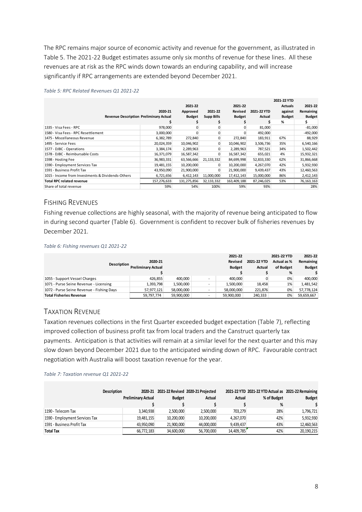The RPC remains major source of economic activity and revenue for the government, as illustrated in Table 5. The 2021-22 Budget estimates assume only six months of revenue for these lines. All these revenues are at risk as the RPC winds down towards an enduring capability, and will increase significantly if RPC arrangements are extended beyond December 2021.

|                                                   |             |               |                   |               |             | 2021-22 YTD    |               |
|---------------------------------------------------|-------------|---------------|-------------------|---------------|-------------|----------------|---------------|
|                                                   |             | 2021-22       |                   | 2021-22       |             | <b>Actuals</b> | 2021-22       |
|                                                   | 2020-21     | Approved      | 2021-22           | Revised       | 2021-22 YTD | against        | Remaining     |
| <b>Revenue Description Preliminary Actual</b>     |             | <b>Budget</b> | <b>Supp Bills</b> | <b>Budget</b> | Actual      | <b>Budget</b>  | <b>Budget</b> |
|                                                   |             |               |                   |               |             | %              | S.            |
| 1335 - Visa Fees - RPC                            | 978,000     |               |                   | 0             | 81,000      |                | $-81,000$     |
| 1580 - Visa Fees - RPC Resettlement               | 3,000,000   |               |                   |               | 492,000     |                | $-492,000$    |
| 1475 - Miscellaneous Revenue                      | 6,382,789   | 272,840       |                   | 272,840       | 183,911     | 67%            | 88,929        |
| 1495 - Service Fees                               | 20,024,359  | 10,046,902    | 0                 | 10,046,902    | 3,506,736   | 35%            | 6,540,166     |
| 1577 - DJBC - Operations                          | 3,384,174   | 2,289,963     |                   | 2,289,963     | 787,521     | 34%            | 1,502,442     |
| 1578 - DJBC - Reimbursable Costs                  | 16,371,079  | 16,587,342    | 0                 | 16,587,342    | 655,021     | 4%             | 15,932,321    |
| 1598 - Hosting Fee                                | 36,983,331  | 63,566,666    | 21,133,332        | 84,699,998    | 52,833,330  | 62%            | 31,866,668    |
| 1590 - Employment Services Tax                    | 19,481,155  | 10,200,000    |                   | 10,200,000    | 4,267,070   | 42%            | 5,932,930     |
| 1591 - Business Profit Tax                        | 43,950,090  | 21,900,000    |                   | 21,900,000    | 9,439,437   | 43%            | 12,460,563    |
| 1015 - Income from Investments & Dividends-Others | 6,721,656   | 6,412,143     | 11,000,000        | 17,412,143    | 15,000,000  | 86%            | 2,412,143     |
| <b>Total RPC related revenue</b>                  | 157,276,633 | 131,275,856   | 32,133,332        | 163,409,188   | 87,246,025  | 53%            | 76, 163, 163  |
| Share of total revenue                            | 59%         | 54%           | 100%              | 59%           | 93%         |                | 28%           |

#### *Table 5: RPC Related Revenues Q1 2021-22*

## <span id="page-7-0"></span>FISHING REVENUES

Fishing revenue collections are highly seasonal, with the majority of revenue being anticipated to flow in during second quarter (Table 6). Government is confident to recover bulk of fisheries revenues by December 2021.

#### *Table 6: Fishing revenues Q1 2021-22*

|                                           |                           |            | 2021-22        |               | 2021-22 YTD | 2021-22       |
|-------------------------------------------|---------------------------|------------|----------------|---------------|-------------|---------------|
| Description                               | 2020-21                   |            | <b>Revised</b> | 2021-22 YTD   | Actual as % | Remaining     |
|                                           | <b>Preliminary Actual</b> |            | <b>Budget</b>  | <b>Actual</b> | of Budget   | <b>Budget</b> |
|                                           |                           |            |                |               | %           |               |
| 1055 - Support Vessel Charges             | 426.855                   | 400.000    | 400.000        |               | 0%          | 400.000       |
| 1071 - Purse Seine Revenue - Licensing    | 1,393,798                 | 1,500,000  | 1,500,000      | 18,458        | 1%          | 1.481.542     |
| 1072 - Purse Seine Revenue - Fishing Days | 57.977.121                | 58,000,000 | 58,000,000     | 221.876       | 0%          | 57,778,124    |
| <b>Total Fisheries Revenue</b>            | 59,797,774                | 59.900.000 | 59.900.000     | 240.333       | 0%          | 59,659,667    |

## <span id="page-7-1"></span>TAXATION REVENUE

Taxation revenues collections in the first Quarter exceeded budget expectation (Table 7), reflecting improved collection of business profit tax from local traders and the Canstruct quarterly tax payments. Anticipation is that activities will remain at a similar level for the next quarter and this may slow down beyond December 2021 due to the anticipated winding down of RPC. Favourable contract negotiation with Australia will boost taxation revenue for the year.

#### *Table 7: Taxation revenue Q1 2021-22*

|                                | <b>Description</b> | <b>Preliminary Actual</b> | <b>Budget</b> | 2020-21 2021-22 Revised 2020-21 Projected<br>Actual | Actual     | 2021-22 YTD 2021-22 YTD Actual as 2021-22 Remaining<br>% of Budget | <b>Budget</b> |
|--------------------------------|--------------------|---------------------------|---------------|-----------------------------------------------------|------------|--------------------------------------------------------------------|---------------|
|                                |                    |                           |               |                                                     |            | %                                                                  |               |
| 1190 - Telecom Tax             |                    | 3.340.938                 | 2,500,000     | 2,500,000                                           | 703,279    | 28%                                                                | 1,796,721     |
| 1590 - Employment Services Tax |                    | 19,481,155                | 10,200,000    | 10,200,000                                          | 4.267.070  | 42%                                                                | 5,932,930     |
| 1591 - Business Profit Tax     |                    | 43.950.090                | 21.900.000    | 44.000.000                                          | 9.439.437  | 43%                                                                | 12,460,563    |
| <b>Total Tax</b>               |                    | 66,772,183                | 34,600,000    | 56,700,000                                          | 14,409,785 | 42%                                                                | 20,190,215    |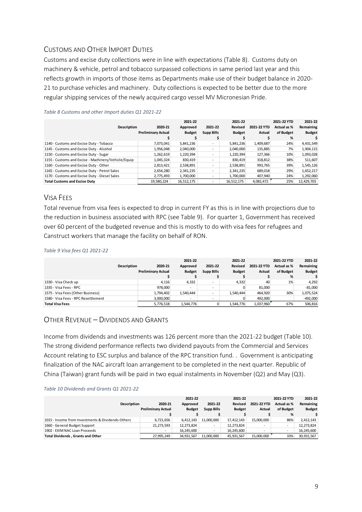## <span id="page-8-0"></span>CUSTOMS AND OTHER IMPORT DUTIES

Customs and excise duty collections were in line with expectations (Table 8). Customs duty on machinery & vehicle, petrol and tobacco surpassed collections in same period last year and this reflects growth in imports of those items as Departments make use of their budget balance in 2020- 21 to purchase vehicles and machinery. Duty collections is expected to be better due to the more regular shipping services of the newly acquired cargo vessel MV Micronesian Pride.

| <b>Description</b>                                  | 2020-21                   | 2021-22<br>Approved | 2021-22                  | 2021-22<br>Revised | 2021-22 YTD | 2021-22 YTD<br>Actual as % | 2021-22<br>Remaining |
|-----------------------------------------------------|---------------------------|---------------------|--------------------------|--------------------|-------------|----------------------------|----------------------|
|                                                     | <b>Preliminary Actual</b> | <b>Budget</b>       | <b>Supp Bills</b>        | <b>Budget</b>      | Actual      | of Budget                  | <b>Budget</b>        |
|                                                     |                           |                     |                          |                    |             | %                          |                      |
| 1140 - Customs and Excise Duty - Tobacco            | 7.073.041                 | 5,841,236           | ۰                        | 5,841,236          | 1,409,687   | 24%                        | 4,431,549            |
| 1145 - Customs and Excise Duty - Alcohol            | 1,956,048                 | 2,040,000           | ۰                        | 2,040,000          | 135,885     | 7%                         | 1,904,115            |
| 1150 - Customs and Excise Duty - Sugar              | 1,262,619                 | 1,220,394           | ۰                        | 1,220,394          | 127,366     | 10%                        | 1,093,028            |
| 1155 - Customs and Excise - Machinery/Vehicle/Equip | 1,045,324                 | 830,419             | ۰                        | 830,419            | 318,812     | 38%                        | 511,607              |
| 1160 - Customs and Excise Duty - Other              | 2,813,421                 | 2,538,891           | ۰                        | 2,538,891          | 993,765     | 39%                        | 1,545,126            |
| 1165 - Customs and Excise Duty - Petrol Sales       | 2,654,280                 | 2,341,235           | ۰                        | 2,341,235          | 689,018     | 29%                        | 1,652,217            |
| 1170 - Customs and Excise Duty - Diesel Sales       | 2,775,493                 | 1,700,000           | $\overline{\phantom{a}}$ | 1,700,000          | 407,940     | 24%                        | 1,292,060            |
| <b>Total Customs and Excise Duty</b>                | 19,580,224                | 16.512.175          |                          | 16.512.175         | 4,082,472   | 25%                        | 12,429,703           |

*Table 8 Customs and other Import duties Q1 2021-22*

## <span id="page-8-1"></span>VISA FEES

Total revenue from visa fees is expected to drop in current FY as this is in line with projections due to the reduction in business associated with RPC (see Table 9). For quarter 1, Government has received over 60 percent of the budgeted revenue and this is mostly to do with visa fees for refugees and Canstruct workers that manage the facility on behalf of RON.

#### *Table 9 Visa fees Q1 2021-22*

|                                     | Description | 2020-21<br><b>Preliminary Actual</b> | 2021-22<br>Approved<br><b>Budget</b> | 2021-22<br><b>Supp Bills</b> | 2021-22<br>Revised<br><b>Budget</b> | 2021-22 YTD<br>Actual | 2021-22 YTD<br>Actual as %<br>of Budget | 2021-22<br>Remaining<br><b>Budget</b> |
|-------------------------------------|-------------|--------------------------------------|--------------------------------------|------------------------------|-------------------------------------|-----------------------|-----------------------------------------|---------------------------------------|
|                                     |             |                                      |                                      |                              |                                     |                       | %                                       |                                       |
| 1330 - Visa Check up                |             | 4,116                                | 4,332                                | -                            | 4,332                               | 40                    | 1%                                      | 4,292                                 |
| 1335 - Visa Fees - RPC              |             | 978.000                              | ۰                                    |                              | 0                                   | 81,000                |                                         | $-81,000$                             |
| 1575 - Visa Fees (Other Business)   |             | 1,794,402                            | 1,540,444                            | -                            | 1,540,444                           | 464,920               | 30%                                     | 1,075,524                             |
| 1580 - Visa Fees - RPC Resettlement |             | 3,000,000                            | $\overline{\phantom{a}}$             | $\overline{\phantom{a}}$     |                                     | 492,000               |                                         | $-492,000$                            |
| <b>Total Visa Fees</b>              |             | 5,776,518                            | 1.544.776                            |                              | 1,544,776                           | 1,037,960             | 67%                                     | 506,816                               |

## <span id="page-8-2"></span>OTHER REVENUE – DIVIDENDS AND GRANTS

Income from dividends and investments was 126 percent more than the 2021-22 budget (Table 10). The strong dividend performance reflects two dividend payouts from the Commercial and Services Account relating to ESC surplus and balance of the RPC transition fund. . Government is anticipating finalization of the NAC aircraft loan arrangement to be completed in the next quarter. Republic of China (Taiwan) grant funds will be paid in two equal instalments in November (Q2) and May (Q3).

#### *Table 10 Dividends and Grants Q1 2021-22*

| <b>Description</b>                                | 2020-21<br><b>Preliminary Actual</b> | 2021-22<br>Approved<br><b>Budget</b> | 2021-22<br><b>Supp Bills</b> | 2021-22<br><b>Revised</b><br><b>Budget</b> | 2021-22 YTD<br>Actual    | 2021-22 YTD<br>Actual as %<br>of Budget<br>% | 2021-22<br>Remaining<br><b>Budget</b> |
|---------------------------------------------------|--------------------------------------|--------------------------------------|------------------------------|--------------------------------------------|--------------------------|----------------------------------------------|---------------------------------------|
| 1015 - Income from Investments & Dividends-Others | 6,721,656                            | 6,412,143                            | 11,000,000                   | 17.412.143                                 | 15,000,000               | 86%                                          | 2,412,143                             |
| 1660 - General Budget Support                     | 21,273,593                           | 12,273,824                           | $\overline{\phantom{0}}$     | 12,273,824                                 |                          | $\overline{\phantom{a}}$                     | 12,273,824                            |
| 1902 - EXIM NAC Loan Proceeds                     | $\overline{\phantom{a}}$             | 16.245.600                           | $\sim$                       | 16.245.600                                 | $\overline{\phantom{a}}$ | $\sim$                                       | 16,245,600                            |
| <b>Total Dividends, Grants and Other</b>          | 27.995.249                           | 34.931.567                           | 11.000.000                   | 45.931.567                                 | 15.000.000               | 33%                                          | 30,931,567                            |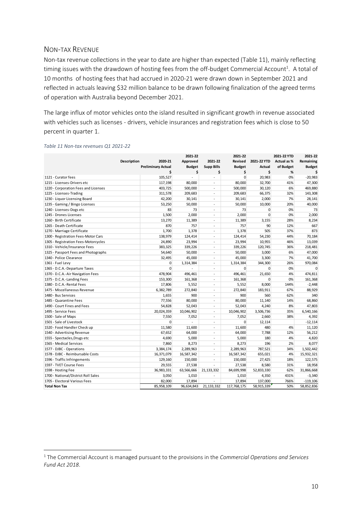### <span id="page-9-0"></span>NON-TAX REVENUE

Non-tax revenue collections in the year to date are higher than expected (Table 11), mainly reflecting timing issues with the drawdown of hosting fees from the off-budget Commercial Account $^{\rm 1}.$  A total of 10 months of hosting fees that had accrued in 2020-21 were drawn down in September 2021 and reflected in actuals leaving \$32 million balance to be drawn following finalization of the agreed terms of operation with Australia beyond December 2021.

The large influx of motor vehicles onto the island resulted in significant growth in revenue associated with vehicles such as licenses - drivers, vehicle insurances and registration fees which is close to 50 percent in quarter 1.

|                                      |                           | 2021-22        |                          | 2021-22       |              | 2021-22 YTD        | 2021-22       |
|--------------------------------------|---------------------------|----------------|--------------------------|---------------|--------------|--------------------|---------------|
| Description                          | 2020-21                   | Approved       | 2021-22                  | Revised       | 2021-22 YTD  | <b>Actual as %</b> | Remaining     |
|                                      | <b>Preliminary Actual</b> | <b>Budget</b>  | <b>Supp Bills</b>        | <b>Budget</b> | Actual       | of Budget          | <b>Budget</b> |
|                                      | \$                        | \$             | Ś                        | \$            | \$           | %                  | Ś             |
| 1121 - Curator fees                  | 105,527                   | ÷.             | ÷,                       | $\mathbf{0}$  | 20,983       | 0%                 | $-20,983$     |
| 1215 - Licenses-Drivers etc          | 117,198                   | 80.000         |                          | 80,000        | 32,700       | 41%                | 47,300        |
| 1220 - Corporation Fees and Licenses | 403,725                   | 500,000        | $\sim$                   | 500,000       | 30,120       | 6%                 | 469,880       |
| 1225 - Licenses-Trading              | 311,578                   | 209,683        | $\tilde{\phantom{a}}$    | 209,683       | 66,375       | 32%                | 143,308       |
| 1230 - Liquor Licensing Board        | 42,200                    | 30,141         | $\overline{\phantom{a}}$ | 30,141        | 2,000        | 7%                 | 28,141        |
| 1235 - Gaming / Bingo Licenses       | 53,250                    | 50,000         | $\bar{\phantom{a}}$      | 50,000        | 10,000       | 20%                | 40,000        |
| 1240 - Licenses-Dogs etc             | 83                        | 73             | $\blacksquare$           | 73            | $\Omega$     | 0%                 | 73            |
| 1245 - Drones Licenses               | 1,500                     | 2,000          | ÷,                       | 2,000         | $\Omega$     | 0%                 | 2,000         |
| 1260 - Birth Certificate             | 13,270                    | 11,389         | $\overline{\phantom{a}}$ | 11,389        | 3,155        | 28%                | 8,234         |
| 1265 - Death Certificate             | 870                       | 757            | $\omega$                 | 757           | 90           | 12%                | 667           |
| 1270 - Marriage Certificate          | 1,700                     | 1,378          | $\overline{\phantom{a}}$ | 1,378         | 505          | 37%                | 873           |
| 1300 - Registration Fees-Motor Cars  | 138,979                   | 124,414        | $\sim$                   | 124,414       | 54,230       | 44%                | 70,184        |
| 1305 - Registration Fees-Motorcycles | 24,890                    | 23,994         | ÷,                       | 23,994        | 10,955       | 46%                | 13,039        |
| 1310 - Vehicle/Insurance Fees        | 383,325                   | 339,226        | $\sim$                   | 339,226       | 120,745      | 36%                | 218,481       |
| 1325 - Passport Fees and Photographs | 54,640                    | 50,000         | $\overline{\phantom{a}}$ | 50,000        | 3,000        | 6%                 | 47,000        |
| 1340 - Police Clearance              | 32,495                    | 45,000         | $\sim$                   | 45,000        | 3,300        | 7%                 | 41,700        |
| 1361 - Fuel Levy                     | $\mathbf 0$               | 1,314,384      | ÷.                       | 1,314,384     | 344,300      | 26%                | 970,084       |
| 1365 - D.C.A.-Departure Taxes        | $\Omega$                  |                | $\sim$                   | $\Omega$      | $\mathbf{0}$ | 0%                 | $\mathbf 0$   |
| 1370 - D.C.A.-Air Navigation Fees    | 478,904                   | 496,461        | $\overline{a}$           | 496,461       | 21,650       | 4%                 | 474,811       |
| 1375 - D.C.A.-Landing Fees           | 153,300                   | 161,368        | $\ddot{\phantom{1}}$     | 161,368       | $\mathbf{0}$ | 0%                 | 161,368       |
| 1380 - D.C.A.-Rental Fees            | 17,806                    | 5,552          | $\sim$                   | 5,552         | 8,000        | 144%               | $-2,448$      |
| 1475 - Miscellaneous Revenue         | 6,382,789                 | 272,840        | $\overline{\phantom{a}}$ | 272,840       | 183,911      | 67%                | 88,929        |
| 1480 - Bus Services                  | 1,655                     | 900            | $\overline{a}$           | 900           | 560          | 62%                | 340           |
| 1485 - Quarantine Fees               | 77,556                    | 80,000         | $\overline{\phantom{a}}$ | 80,000        | 11,140       | 14%                | 68,860        |
| 1490 - Court Fines and Fees          | 54,828                    | 52,043         | $\blacksquare$           | 52,043        | 4,240        | 8%                 | 47,803        |
| 1495 - Service Fees                  | 20,024,359                | 10,046,902     | ÷,                       | 10,046,902    | 3,506,736    | 35%                | 6,540,166     |
| 1500 - Sale of Maps                  | 7,550                     | 7,052          | $\overline{\phantom{a}}$ | 7,052         | 2,660        | 38%                | 4,392         |
| 1501 - Sale of Livestock             | $\Omega$                  | $\overline{a}$ | $\overline{\phantom{a}}$ | $\Omega$      | 12,114       |                    | $-12,114$     |
| 1520 - Food Handler Check up         | 11,580                    | 11,600         | $\ddot{\phantom{1}}$     | 11,600        | 480          | 4%                 | 11,120        |
| 1540 - Advertising Revenue           | 67,652                    | 64,000         | $\sim$                   | 64,000        | 7,788        | 12%                | 56,212        |
| 1555 - Spectacles, Drugs etc         | 4,690                     | 5,000          | L.                       | 5,000         | 180          | 4%                 | 4,820         |
| 1565 - Medical Services              | 7,860                     | 8,273          | $\sim$                   | 8,273         | 196          | 2%                 | 8,077         |
| 1577 - DJBC - Operations             | 3,384,174                 | 2,289,963      | $\overline{\phantom{a}}$ | 2,289,963     | 787,521      | 34%                | 1,502,442     |
| 1578 - DJBC - Reimbursable Costs     | 16,371,079                | 16,587,342     | ÷,                       | 16,587,342    | 655,021      | 4%                 | 15,932,321    |
| 1596 - Traffic Infringements         | 129,160                   | 150,000        | ÷.                       | 150,000       | 27,425       | 18%                | 122,575       |
| 1597 - TVET Course Fees              | 29,555                    | 27,538         | $\overline{a}$           | 27,538        | 8,580        | 31%                | 18,958        |
| 1598 - Hosting Fee                   | 36,983,331                | 63,566,666     | 21, 133, 332             | 84,699,998    | 52,833,330   | 62%                | 31,866,668    |
| 1700 - National/District Roll Sales  | 3,050                     | 1,010          |                          | 1,010         | 4,350        | 431%               | $-3,340$      |
| 1705 - Electoral Various Fees        | 82,000                    | 17,894         | $\overline{\phantom{a}}$ | 17,894        | 137,000      | 766%               | $-119,106$    |
| <b>Total Non Tax</b>                 | 85,958,109                | 96,634,843     | 21,133,332               | 117,768,175   | 58,915,339   | 50%                | 58,852,836    |

#### *Table 11 Non-tax revenues Q1 2021-22*

<sup>1</sup> The Commercial Account is managed pursuant to the provisions in the *Commercial Operations and Services Fund Act 2018*.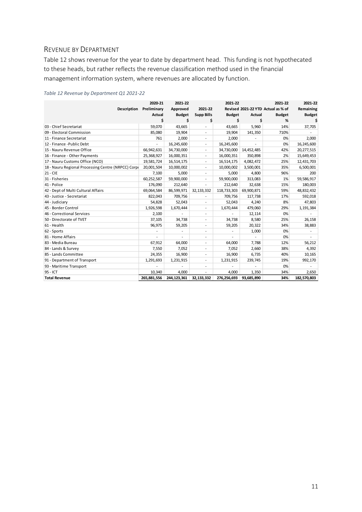## <span id="page-10-0"></span>REVENUE BY DEPARTMENT

Table 12 shows revenue for the year to date by department head. This funding is not hypothecated to these heads, but rather reflects the revenue classification method used in the financial management information system, where revenues are allocated by function.

| Table 12 Revenue by Department Q1 2021-22 |  |
|-------------------------------------------|--|
|-------------------------------------------|--|

|                                                     | 2020-21                  | 2021-22       |                          | 2021-22       |            | 2021-22                            | 2021-22       |
|-----------------------------------------------------|--------------------------|---------------|--------------------------|---------------|------------|------------------------------------|---------------|
| <b>Description</b>                                  | Preliminary              | Approved      | 2021-22                  |               |            | Revised 2021-22 YTD Actual as % of | Remaining     |
|                                                     | Actual                   | <b>Budget</b> | <b>Supp Bills</b>        | <b>Budget</b> | Actual     | <b>Budget</b>                      | <b>Budget</b> |
|                                                     | \$                       | \$            | \$                       | Ś             | \$         | %                                  |               |
| 03 - Chief Secretariat                              | 59,070                   | 43,665        | $\overline{a}$           | 43,665        | 5,960      | 14%                                | 37,705        |
| 09 - Electoral Commission                           | 85,080                   | 19,904        | $\overline{\phantom{a}}$ | 19,904        | 141,350    | 710%                               |               |
| 11 - Finance Secretariat                            | 761                      | 2,000         | $\overline{a}$           | 2,000         |            | 0%                                 | 2,000         |
| 12 - Finance - Public Debt                          | $\overline{\phantom{a}}$ | 16,245,600    | $\overline{\phantom{a}}$ | 16,245,600    |            | 0%                                 | 16,245,600    |
| 15 - Nauru Revenue Office                           | 66,942,631               | 34,730,000    | $\overline{\phantom{a}}$ | 34,730,000    | 14,452,485 | 42%                                | 20,277,515    |
| 16 - Finance - Other Payments                       | 25,368,927               | 16,000,351    | $\overline{\phantom{a}}$ | 16,000,351    | 350,898    | 2%                                 | 15,649,453    |
| 17 - Nauru Customs Office (NCO)                     | 19,581,724               | 16,514,175    | $\overline{\phantom{a}}$ | 16,514,175    | 4,082,472  | 25%                                | 12,431,703    |
| 18 - Nauru Regional Processing Centre (NRPCC) Corpo | 20,001,504               | 10,000,002    | $\overline{a}$           | 10,000,002    | 3,500,001  | 35%                                | 6,500,001     |
| $21 - CIE$                                          | 7,100                    | 5,000         | ۰.                       | 5,000         | 4,800      | 96%                                | 200           |
| 31 - Fisheries                                      | 60,252,587               | 59,900,000    | ä,                       | 59,900,000    | 313,083    | 1%                                 | 59,586,917    |
| 41 - Police                                         | 176,090                  | 212,640       | ä,                       | 212,640       | 32,638     | 15%                                | 180,003       |
| 42 - Dept of Multi Cultural Affairs                 | 69,064,584               | 86,599,971    | 32,133,332               | 118,733,303   | 69,900,871 | 59%                                | 48,832,432    |
| 43 - Justice - Secretariat                          | 822,043                  | 709,756       | $\overline{a}$           | 709,756       | 117,738    | 17%                                | 592,018       |
| 44 - Judiciary                                      | 54,828                   | 52,043        | $\overline{\phantom{a}}$ | 52,043        | 4,240      | 8%                                 | 47,803        |
| 45 - Border Control                                 | 1,926,598                | 1,670,444     | $\overline{\phantom{a}}$ | 1,670,444     | 479,060    | 29%                                | 1,191,384     |
| 46 - Correctional Services                          | 2,100                    |               | $\overline{\phantom{a}}$ |               | 12,114     | 0%                                 |               |
| 50 - Directorate of TVET                            | 37,105                   | 34,738        | $\overline{\phantom{a}}$ | 34,738        | 8,580      | 25%                                | 26,158        |
| 61 - Health                                         | 96,975                   | 59,205        | $\overline{\phantom{a}}$ | 59,205        | 20,322     | 34%                                | 38,883        |
| 62 - Sports                                         |                          |               | $\overline{\phantom{a}}$ |               | 1,000      | 0%                                 |               |
| 81 - Home Affairs                                   |                          |               | ٠                        |               |            | 0%                                 |               |
| 83 - Media Bureau                                   | 67,912                   | 64,000        | $\overline{\phantom{a}}$ | 64,000        | 7,788      | 12%                                | 56,212        |
| 84 - Lands & Survey                                 | 7,550                    | 7,052         | $\overline{\phantom{a}}$ | 7,052         | 2,660      | 38%                                | 4,392         |
| 85 - Lands Committee                                | 24,355                   | 16,900        | $\overline{\phantom{a}}$ | 16,900        | 6,735      | 40%                                | 10,165        |
| 91 - Department of Transport                        | 1,291,693                | 1,231,915     | $\overline{\phantom{a}}$ | 1,231,915     | 239,745    | 19%                                | 992,170       |
| 93 - Maritime Transport                             |                          |               | $\overline{\phantom{a}}$ |               |            | 0%                                 |               |
| 95 - ICT                                            | 10,340                   | 4.000         | ä,                       | 4,000         | 1,350      | 34%                                | 2,650         |
| <b>Total Revenue</b>                                | 265,881,556              | 244,123,361   | 32.133.332               | 276,256,693   | 93,685,890 | 34%                                | 182,570,803   |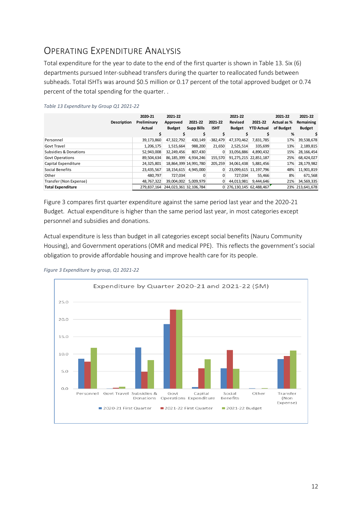## <span id="page-11-0"></span>OPERATING EXPENDITURE ANALYSIS

Total expenditure for the year to date to the end of the first quarter is shown in Table 13. Six (6) departments pursued Inter-subhead transfers during the quarter to reallocated funds between subheads. Total ISHTs was around \$0.5 million or 0.17 percent of the total approved budget or 0.74 percent of the total spending for the quarter. .

|                                  | Description | 2020-21<br>Preliminary<br>Actual | 2021-22<br>Approved<br><b>Budget</b> | 2021-22<br><b>Supp Bills</b> | 2021-22<br><b>ISHT</b> | 2021-22<br><b>Revised</b><br><b>Budget</b> | 2021-22<br><b>YTD Actual</b> | 2021-22<br>Actual as %<br>of Budget<br>% | 2021-22<br>Remaining<br><b>Budget</b> |
|----------------------------------|-------------|----------------------------------|--------------------------------------|------------------------------|------------------------|--------------------------------------------|------------------------------|------------------------------------------|---------------------------------------|
| Personnel                        |             | 39,173,860                       | 47,322,792                           | 430,149                      | $-382,479$             | 47,370,462                                 | 7,831,785                    | 17%                                      | 39,538,678                            |
| <b>Govt Travel</b>               |             | 1,206,175                        | 1,515,664                            | 988.200                      | 21,650                 | 2,525,514                                  | 335,699                      | 13%                                      | 2,189,815                             |
| <b>Subsidies &amp; Donations</b> |             | 52,943,008                       | 32,249,456                           | 807,430                      | 0                      | 33,056,886                                 | 4,890,432                    | 15%                                      | 28, 166, 454                          |
| <b>Govt Operations</b>           |             | 89,504,634                       | 86,185,399                           | 4,934,246                    | 155,570                |                                            | 91,275,215 22,851,187        | 25%                                      | 68,424,027                            |
| Capital Expenditure              |             | 24,325,801                       |                                      | 18,864,399 14,991,780        | 205,259                | 34,061,438                                 | 5,881,456                    | 17%                                      | 28,179,982                            |
| Social Benefits                  |             | 23,435,567                       | 18,154,615                           | 4,945,000                    | 0                      |                                            | 23,099,615 11,197,796        | 48%                                      | 11,901,819                            |
| Other                            |             | 480,797                          | 727,034                              |                              | 0                      | 727,034                                    | 55,466                       | 8%                                       | 671,568                               |
| Transfer (Non Expense)           |             | 48,767,322                       | 39,004,002                           | 5,009,979                    | 0                      | 44,013,981                                 | 9,444,646                    | 21%                                      | 34,569,335                            |
| <b>Total Expenditure</b>         |             | 279.837.164                      | 244,023,361 32,106,784               |                              |                        | 276.130.145                                | 62.488.467                   |                                          | 23% 213,641,678                       |

#### *Table 13 Expenditure by Group Q1 2021-22*

Figure 3 compares first quarter expenditure against the same period last year and the 2020-21 Budget. Actual expenditure is higher than the same period last year, in most categories except personnel and subsidies and donations.

Actual expenditure is less than budget in all categories except social benefits (Nauru Community Housing), and Government operations (OMR and medical PPE). This reflects the government's social obligation to provide affordable housing and improve health care for its people.



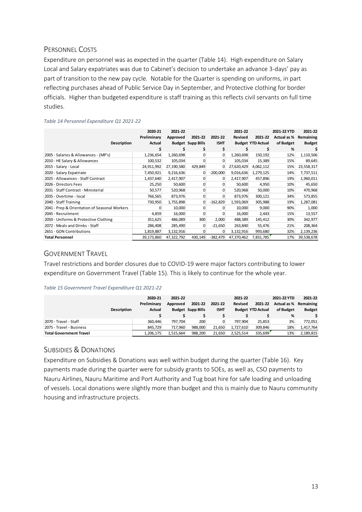## <span id="page-12-0"></span>PERSONNEL COSTS

Expenditure on personnel was as expected in the quarter (Table 14). High expenditure on Salary Local and Salary expatriates was due to Cabinet's decision to undertake an advance 3-days' pay as part of transition to the new pay cycle. Notable for the Quarter is spending on uniforms, in part reflecting purchases ahead of Public Service Day in September, and Protective clothing for border officials. Higher than budgeted expenditure is staff training as this reflects civil servants on full time studies.

| Description                                   | 2020-21<br>Preliminary<br>Actual | 2021-22<br>Approved | 2021-22<br><b>Budget Supp Bills</b> | 2021-22<br><b>ISHT</b> | 2021-22<br>Revised | 2021-22<br><b>Budget YTD Actual</b> | 2021-22 YTD<br>Actual as %<br>of Budget | 2021-22<br>Remaining<br><b>Budget</b> |
|-----------------------------------------------|----------------------------------|---------------------|-------------------------------------|------------------------|--------------------|-------------------------------------|-----------------------------------------|---------------------------------------|
|                                               |                                  |                     |                                     | \$                     |                    |                                     | %                                       |                                       |
| 2005 - Salaries & Allowances - (MP's)         | 1,236,654                        | 1,260,698           | 0                                   | 0                      | 1,260,698          | 150,192                             | 12%                                     | 1,110,506                             |
| 2010 - HE Salary & Allowances                 | 100,532                          | 105,034             | 0                                   | 0                      | 105,034            | 15,389                              | 15%                                     | 89,645                                |
| 2015 - Salary - Local                         | 24,911,992                       | 27,190,580          | 429,849                             | 0                      | 27,620,429         | 4,062,112                           | 15%                                     | 23,558,317                            |
| 2020 - Salary Expatriate                      | 7,450,921                        | 9,216,636           | 0                                   | $-200,000$             | 9,016,636          | 1,279,125                           | 14%                                     | 7,737,511                             |
| 2025 - Allowances - Staff Contract            | 1,437,640                        | 2,417,907           | 0                                   | 0                      | 2,417,907          | 457,896                             | 19%                                     | 1,960,011                             |
| 2026 - Directors Fees                         | 25,250                           | 50,600              | 0                                   | 0                      | 50,600             | 4,950                               | 10%                                     | 45,650                                |
| 2031 - Staff Contract - Ministerial           | 50,577                           | 520,968             | 0                                   | 0                      | 520,968            | 50,000                              | 10%                                     | 470,968                               |
| 2035 - Overtime - local                       | 766,565                          | 873,976             | 0                                   | 0                      | 873,976            | 300,121                             | 34%                                     | 573,855                               |
| 2040 - Staff Training                         | 730,950                          | 1,755,898           | 0                                   | $-162,829$             | 1,593,069          | 305,988                             | 19%                                     | 1,287,081                             |
| 2041 - Prep & Orientation of Seasonal Workers | 0                                | 10,000              | 0                                   | 0                      | 10,000             | 9,000                               | 90%                                     | 1,000                                 |
| 2045 - Recruitment                            | 4,859                            | 16,000              | 0                                   |                        | 16,000             | 2,443                               | 15%                                     | 13,557                                |
| 2050 - Uniforms & Protective Clothing         | 351,625                          | 486,089             | 300                                 | 2,000                  | 488,389            | 145,412                             | 30%                                     | 342,977                               |
| 2072 - Meals and Drinks - Staff               | 286,408                          | 285,490             | O                                   | $-21,650$              | 263,840            | 55,476                              | 21%                                     | 208,364                               |
| 2651 - GON Contributions                      | 1,819,887                        | 3,132,916           | $\Omega$                            | U                      | 3,132,916          | 993,680                             | 32%                                     | 2,139,236                             |
| <b>Total Personnel</b>                        | 39,173,860                       | 47,322,792          | 430,149                             | $-382,479$             | 47,370,462         | 7,831,785                           | 17%                                     | 39,538,678                            |

#### *Table 14 Personnel Expenditure Q1 2021-22*

## <span id="page-12-1"></span>GOVERNMENT TRAVEL

Travel restrictions and border closures due to COVID-19 were major factors contributing to lower expenditure on Government Travel (Table 15). This is likely to continue for the whole year.

#### *Table 15 Government Travel Expenditure Q1 2021-22*

|                                | 2020-21     | 2021-22   |                          |             | 2021-22   |                          | 2021-22 YTD | 2021-22               |
|--------------------------------|-------------|-----------|--------------------------|-------------|-----------|--------------------------|-------------|-----------------------|
|                                | Preliminary | Approved  | 2021-22                  | 2021-22     | Revised   | 2021-22                  |             | Actual as % Remaining |
| <b>Description</b>             | Actual      |           | <b>Budget Supp Bills</b> | <b>ISHT</b> |           | <b>Budget YTD Actual</b> | of Budget   | <b>Budget</b>         |
|                                |             |           |                          |             |           |                          | %           |                       |
| 2070 - Travel - Staff          | 360.446     | 797.704   | 200                      |             | 797.904   | 25.853                   | 3%          | 772.051               |
| 2075 - Travel - Business       | 845.729     | 717.960   | 988.000                  | 21,650      | 1.727.610 | 309,846                  | 18%         | 1,417,764             |
| <b>Total Government Travel</b> | 1,206,175   | 1.515.664 | 988.200                  | 21,650      | 2.525.514 | 335.699                  | 13%         | 2,189,815             |

## <span id="page-12-2"></span>SUBSIDIES & DONATIONS

Expenditure on Subsidies & Donations was well within budget during the quarter (Table 16). Key payments made during the quarter were for subsidy grants to SOEs, as well as, CSO payments to Nauru Airlines, Nauru Maritime and Port Authority and Tug boat hire for safe loading and unloading of vessels. Local donations were slightly more than budget and this is mainly due to Nauru community housing and infrastructure projects.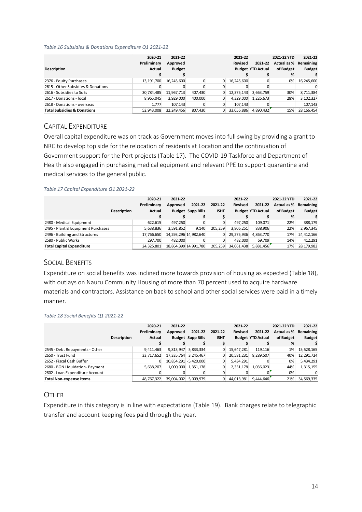#### *Table 16 Subsidies & Donations Expenditure Q1 2021-22*

|                                        | 2020-21       | 2021-22       |         |   | 2021-22    |                          | 2021-22 YTD           | 2021-22       |
|----------------------------------------|---------------|---------------|---------|---|------------|--------------------------|-----------------------|---------------|
|                                        | Preliminary   | Approved      |         |   | Revised    | 2021-22                  | Actual as % Remaining |               |
| Description                            | <b>Actual</b> | <b>Budget</b> |         |   |            | <b>Budget YTD Actual</b> | of Budget             | <b>Budget</b> |
|                                        |               |               |         |   |            |                          | %                     |               |
| 2376 - Equity Purchases                | 13,191,700    | 16,245,600    |         | 0 | 16,245,600 |                          | $0\%$                 | 16,245,600    |
| 2615 - Other Subsidies & Donations     |               |               | 0       |   |            |                          |                       |               |
| 2616 - Subsidies to SoEs               | 30,784,485    | 11,967,713    | 407,430 | 0 | 12,375,143 | 3,663,759                | 30%                   | 8,711,384     |
| 2617 - Donations - Jocal               | 8,965,045     | 3,929,000     | 400,000 |   | 4,329,000  | 1,226,673                | 28%                   | 3,102,327     |
| 2618 - Donations - overseas            | 1.777         | 107.143       |         |   | 107.143    |                          |                       | 107,143       |
| <b>Total Subsidies &amp; Donations</b> | 52,943,008    | 32,249,456    | 807,430 |   | 33,056,886 | 4,890,432                | 15%                   | 28, 166, 454  |

## <span id="page-13-0"></span>CAPITAL EXPENDITURE

Overall capital expenditure was on track as Government moves into full swing by providing a grant to NRC to develop top side for the relocation of residents at Location and the continuation of Government support for the Port projects (Table 17). The COVID-19 Taskforce and Department of Health also engaged in purchasing medical equipment and relevant PPE to support quarantine and medical services to the general public.

#### *Table 17 Capital Expenditure Q1 2021-22*

|                                    | 2020-21<br>Preliminary<br><b>Description</b><br><b>Actual</b> | 2021-22<br>Approved | 2021-22<br><b>Budget Supp Bills</b> | 2021-22<br><b>ISHT</b> | 2021-22<br>Revised | 2021-22<br><b>Budget YTD Actual</b> | 2021-22 YTD<br>Actual as %<br>of Budget<br>% | 2021-22<br>Remaining<br><b>Budget</b> |
|------------------------------------|---------------------------------------------------------------|---------------------|-------------------------------------|------------------------|--------------------|-------------------------------------|----------------------------------------------|---------------------------------------|
| 2480 - Medical Equipment           | 622.615                                                       | 497.250             |                                     |                        | 497.250            | 109.071                             | 22%                                          | 388.179                               |
| 2495 - Plant & Equipment Purchases | 5,638,836                                                     | 3.591.852           | 9.140                               | 205.259                | 3,806,251          | 838,906                             | 22%                                          | 2,967,345                             |
| 2496 - Building and Structures     | 17,766,650                                                    |                     | 14, 293, 296 14, 982, 640           |                        | 29,275,936         | 4,863,770                           | 17%                                          | 24.412.166                            |
| 2580 - Public Works                | 297.700                                                       | 482.000             |                                     |                        | 482.000            | 69,709                              | 14%                                          | 412,291                               |
| <b>Total Capital Expenditure</b>   | 24.325.801                                                    |                     | 18.864.399 14.991.780               | 205.259                | 34.061.438         | 5,881,456                           | 17%                                          | 28,179,982                            |

## <span id="page-13-1"></span>SOCIAL BENEFITS

Expenditure on social benefits was inclined more towards provision of housing as expected (Table 18), with outlays on Nauru Community Housing of more than 70 percent used to acquire hardware materials and contractors. Assistance on back to school and other social services were paid in a timely manner.

#### *Table 18 Social Benefits Q1 2021-22*

|                                 |             | 2020-21       | 2021-22    |                          |             | 2021-22        |                          | 2021-22 YTD | 2021-22       |
|---------------------------------|-------------|---------------|------------|--------------------------|-------------|----------------|--------------------------|-------------|---------------|
|                                 |             | Preliminary   | Approved   | 2021-22                  | 2021-22     | <b>Revised</b> | 2021-22                  | Actual as % | Remaining     |
|                                 | Description | <b>Actual</b> |            | <b>Budget Supp Bills</b> | <b>ISHT</b> |                | <b>Budget YTD Actual</b> | of Budget   | <b>Budget</b> |
|                                 |             |               |            |                          |             |                |                          | %           |               |
| 2545 - Debt Repayments - Other  |             | 9,411,463     | 9,813,947  | 5,833,334                | 0           | 15,647,281     | 119.116                  | 1%          | 15,528,165    |
| 2650 - Trust Fund               |             | 33,717,652    | 17,335,764 | 3,245,467                |             | 20,581,231     | 8,289,507                | 40%         | 12,291,724    |
| 2652 - Fiscal Cash Buffer       |             |               |            | 10,854,291 - 5,420,000   |             | 5,434,291      |                          | 0%          | 5,434,291     |
| 2680 - BON Liquidation- Payment |             | 5,638,207     | 1,000,000  | 1,351,178                |             | 2,351,178      | 1,036,023                | 44%         | 1,315,155     |
| 2802 - Loan Expenditure Account |             |               |            |                          |             |                |                          | 0%          |               |
| <b>Total Non-expense items</b>  |             | 48,767,322    | 39.004.002 | 5.009.979                |             | 44.013.981     | 9.444.646                | 21%         | 34,569,335    |

## <span id="page-13-2"></span>**OTHER**

Expenditure in this category is in line with expectations (Table 19). Bank charges relate to telegraphic transfer and account keeping fees paid through the year.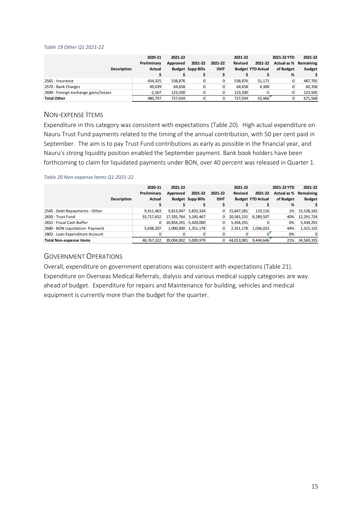#### *Table 19 Other Q1 2021-22*

| <b>Description</b>                   | 2020-21<br>Preliminary<br>Actual | 2021-22<br>Approved | 2021-22<br><b>Budget Supp Bills</b> | 2021-22<br><b>ISHT</b> | 2021-22<br>Revised | 2021-22<br><b>Budget YTD Actual</b> | 2021-22 YTD<br>Actual as % Remaining<br>of Budget<br>% | 2021-22<br>budget |
|--------------------------------------|----------------------------------|---------------------|-------------------------------------|------------------------|--------------------|-------------------------------------|--------------------------------------------------------|-------------------|
| 2565 - Insurance                     | 434.325                          | 538.876             |                                     |                        | 538.876            | 51.171                              | 0                                                      | 487,705           |
| 2570 - Bank Charges                  | 49.039                           | 64,658              |                                     |                        | 64.658             | 4.300                               |                                                        | 60,358            |
| 2690 - Foreign exchange gains/losses | $-2.567$                         | 123.500             |                                     |                        | 123.500            | -5                                  | $-0$                                                   | 123,505           |
| <b>Total Other</b>                   | 480.797                          | 727.034             |                                     |                        | 727.034            | 55.466                              |                                                        | 671,568           |

### <span id="page-14-0"></span>NON-EXPENSE ITEMS

Expenditure in this category was consistent with expectations (Table 20). High actual expenditure on Nauru Trust Fund payments related to the timing of the annual contribution, with 50 per cent paid in September. The aim is to pay Trust Fund contributions as early as possible in the financial year, and Nauru's strong liquidity position enabled the September payment. Bank book holders have been forthcoming to claim for liquidated payments under BON, over 40 percent was released in Quarter 1.

#### *Table 20 Non-expense Items Q1 2021-22*

|                                 | <b>Description</b> | 2020-21<br>Preliminary<br>Actual | 2021-22<br>Approved    | 2021-22<br><b>Budget Supp Bills</b> | 2021-22<br><b>ISHT</b> | 2021-22<br><b>Revised</b> | 2021-22<br><b>Budget YTD Actual</b> | 2021-22 YTD<br>Actual as %<br>of Budget | 2021-22<br>Remaining<br><b>Budget</b> |
|---------------------------------|--------------------|----------------------------------|------------------------|-------------------------------------|------------------------|---------------------------|-------------------------------------|-----------------------------------------|---------------------------------------|
|                                 |                    |                                  |                        |                                     |                        |                           |                                     | %                                       |                                       |
| 2545 - Debt Repayments - Other  |                    | 9,411,463                        | 9,813,947              | 5,833,334                           | 0                      | 15,647,281                | 119.116                             | 1%                                      | 15,528,165                            |
| 2650 - Trust Fund               |                    | 33,717,652                       | 17,335,764             | 3,245,467                           |                        | 20,581,231                | 8,289,507                           | 40%                                     | 12,291,724                            |
| 2652 - Fiscal Cash Buffer       |                    | 0                                | 10,854,291 - 5,420,000 |                                     |                        | 5,434,291                 |                                     | $0\%$                                   | 5,434,291                             |
| 2680 - BON Liquidation- Payment |                    | 5,638,207                        | 1,000,000              | 1,351,178                           |                        | 2,351,178                 | 1,036,023                           | 44%                                     | 1,315,155                             |
| 2802 - Loan Expenditure Account |                    |                                  |                        |                                     |                        |                           |                                     | 0%                                      | 0                                     |
| <b>Total Non-expense items</b>  |                    | 48,767,322                       | 39,004,002             | 5.009.979                           |                        | 44,013,981                | 9,444,646                           | 21%                                     | 34,569,335                            |

### <span id="page-14-1"></span>GOVERNMENT OPERATIONS

Overall, expenditure on government operations was consistent with expectations (Table 21). Expenditure on Overseas Medical Referrals, dialysis and various medical supply categories are way ahead of budget. Expenditure for repairs and Maintenance for building, vehicles and medical equipment is currently more than the budget for the quarter.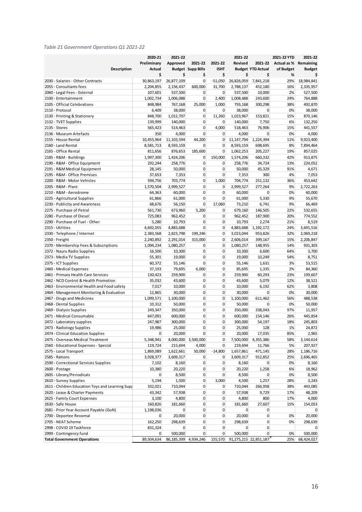#### *Table 21 Government Operations Q1 2021-22*

|                                                  | 2020-21       | 2021-22                  |                          |             | 2021-22               |                          | 2021-22 YTD         | 2021-22       |
|--------------------------------------------------|---------------|--------------------------|--------------------------|-------------|-----------------------|--------------------------|---------------------|---------------|
|                                                  | Preliminary   | Approved                 | 2021-22                  | 2021-22     | <b>Revised</b>        |                          | 2021-22 Actual as % | Remaining     |
| Description                                      | <b>Actual</b> |                          | <b>Budget Supp Bills</b> | <b>ISHT</b> |                       | <b>Budget YTD Actual</b> | of Budget           | <b>Budget</b> |
|                                                  | \$            | \$                       | \$                       | \$          | \$                    | \$                       | %                   | \$            |
| 2030 - Salaries - Other Contracts                | 30,863,197    | 26,877,109               | $\mathbf 0$              | $-51,050$   | 26,826,059            | 7,841,218                | 29%                 | 18,984,841    |
| 2055 - Consultants fees                          | 2,204,855     | 2,156,437                | 600,000                  | 31,700      | 2,788,137             | 452,180                  | 16%                 | 2,335,957     |
| 2060 - Legal Fees - External                     | 107,601       | 537,500                  | $\mathbf 0$              | $\mathbf 0$ | 537,500               | 10,000                   | 2%                  | 527,500       |
| 2100 - Entertainment                             | 1,002,734     | 1,006,088                | 0                        | 2,400       | 1,008,488             | 243,600                  | 24%                 | 764,888       |
| 2105 - Official Celebrations                     | 848,984       | 767,168                  | 25,000                   | 1,000       | 793,168               | 300,298                  | 38%                 | 492,870       |
| 2110 - Protocol                                  | 6,409         | 38,000                   | 0                        | 0           | 38,000                | 0                        | 0%                  | 38,000        |
| 2130 - Printing & Stationery                     | 848,700       | 1,012,707                | 0                        | 11,260      | 1,023,967             | 153,821                  | 15%                 | 870,146       |
| 2132 - TVET Supplies                             | 139,999       | 140,000                  | 0                        | 0           | 140,000               | 7,750                    | 6%                  | 132,250       |
| 2135 - Stores                                    | 565,423       | 514,463                  | 0                        | 4,000       | 518,463               | 76,906                   | 15%                 | 441,557       |
| 2136 - Museum Artefacts                          | 350           | 4,000                    | $\mathbf 0$              | 0           | 4,000                 | 0                        | 0%                  | 4,000         |
| 2155 - House Rental                              | 10,455,964    | 11, 103, 594             | 44,200                   | 0           | 11, 147, 794          | 1,224,394                | 11%                 | 9,923,400     |
| 2160 - Land Rental                               | 8,581,713     | 8,593,159                | 0                        | 0           | 8,593,159             | 698,695                  | 8%                  | 7,894,464     |
| 2165 - Office Rental                             | 811,656       | 876,653                  | 185,600                  | 0           | 1,062,253             | 205,227                  | 19%                 | 857,025       |
| 2185 - R&M - Buildings                           | 1,997,300     | 1,424,206                | 0                        | 150,000     | 1,574,206             | 660,332                  | 42%                 | 913,875       |
| 2190 - R&M - Office Equipment                    | 292,244       | 258,776                  | 0                        | 0           | 258,776               | 34,724                   | 13%                 | 224,052       |
| 2191 - R&M Medical Equipment                     | 28,145        | 50,000                   | $\mathbf 0$              | $\mathbf 0$ | 50,000                | 45,329                   | 91%                 | 4,671         |
| 2195 - R&M - Office Premises                     | 37,653        | 7,353                    | 0                        | 0           | 7,353                 | 300                      | 4%                  | 7,053         |
| 2200 - R&M - Motor Vehicles                      | 594,756       | 703,774                  | 0                        | 1,000       | 704,774               | 251,132                  | 36%                 | 453,642       |
| 2205 - R&M - Plant                               | 1,570,504     | 2,999,527                | $\mathbf 0$              | 0           | 2,999,527             | 277,264                  | 9%                  | 2,722,263     |
| 2210 - R&M - Aerodrome                           | 64,363        | 60,000                   | 0                        | 0           | 60,000                | 0                        | 0%                  | 60,000        |
| 2225 - Agricultural Supplies                     | 61,866        | 61,000                   | $\mathbf 0$              | $\mathbf 0$ | 61,000                | 5,330                    | 9%                  | 55,670        |
| 2230 - Publicity and Awareness                   | 68,676        | 56,150                   | 0                        | 17,060      | 73,210                | 6,741                    | 9%                  | 66,469        |
| 2275 - Purchase of Petrol                        | 561,730       | 673,960                  | 5,200                    | 0           | 679,160               | 146,505                  | 22%                 | 532,655       |
| 2280 - Purchase of Diesel                        | 725,083       | 962,452                  | 0                        | 0           | 962,452               | 187,900                  | 20%                 | 774,552       |
| 2290 - Purchase of Fuel - Other                  | 5,280         | 10,793                   | 0                        | 0           | 10,793                | 2,274                    | 21%                 | 8,519         |
| 2315 - Utilities                                 | 4,692,055     | 4,883,688                | $\mathbf 0$              | 0           | 4,883,688             | 1,192,172                | 24%                 | 3,691,516     |
| 2330 - Telephone / Internet                      | 2,383,568     | 2,823,798                | 199,246                  | 0           | 3,023,044             | 953,826                  | 32%                 | 2,069,218     |
| 2350 - Freight                                   | 2,240,892     | 2,291,014                | 315,000                  | 0           | 2,606,014             | 399,167                  | 15%                 | 2,206,847     |
| 2370 - Membership Fees & Subscriptions           | 1,094,234     | 1,080,257                | 0                        | 0           | 1,080,257             | 148,955                  | 14%                 | 931,303       |
| 2372 - Nauru Radio Supplies                      | 16,500        | 10,300                   | 0                        | 0           | 10,300                | 6,600                    | 64%                 | 3,700         |
| 2373 - Media TV Supplies                         | 55,301        | 19,000                   | 0                        | 0           | 19,000                | 10,249                   | 54%                 | 8,751         |
| 2375 - ICT Supplies                              | 60,372        | 55,146                   | $\mathbf 0$              | 0           | 55,146                | 1,631                    | 3%                  | 53,515        |
| 2460 - Medical Expenses                          | 37,193        | 79,695                   | 6,000                    | 0           | 85,695                | 1,335                    | 2%                  | 84,360        |
| 2461 - Primary Health Care Services              | 130,423       | 259,900                  | 0                        | 0           | 259,900               | 60,293                   | 23%                 | 199,607       |
| 2462 - NCD Control & Health Promotion            | 35,032        | 43,600                   | 0                        | 0           | 43,600                | 5,079                    | 12%                 | 38,521        |
| 2463 - Environmental Health and Food safety      | 7,017         | 10,000                   | 0                        | 0           | 10,000                | 6,192                    | 62%                 | 3,808         |
| 2464 - Management Monitoring & Evaluation        | 12,865        | 30,000                   | $\mathbf 0$              | 0           | 30,000                | 0                        | 0%                  | 30,000        |
| 2467 - Drugs and Medicines                       | 1,099,571     | 1,100,000                | 0                        | 0           | 1,100,000             | 611,462                  | 56%                 | 488,538       |
| 2468 - Dental Supplies                           | 10,312        | 50,000                   | $\mathbf 0$              | $\mathbf 0$ | 50,000                | 0                        | 0%                  | 50,000        |
| 2469 - Dialysis Supplies                         | 249,347       | 350,000                  | 0                        | 0           | 350,000               | 338,043                  | 97%                 | 11,957        |
| 2471 - Medical Consumable                        | 647,091       | 600,000                  | 0                        | 0           | 600,000               | 154,146                  | 26%                 | 445,854       |
| 2472 - Laboratory supplies                       | 247,987       | 300,000                  | $\mathbf 0$              | $\mathbf 0$ | 300,000               | 54,197                   | 18%                 | 245,803       |
| 2473 - Radiology Supplies                        | 19,986        | 25,000                   | 0                        | 0           | 25,000                | 128                      | 1%                  | 24,872        |
| 2474 - Clinical Education Supplies               | $\mathbf 0$   | 20,000                   | 0                        | 0           | 20,000                | 17,035                   | 85%                 | 2,965         |
| 2475 - Overseas Medical Treatment                | 5,348,941     | 4,000,000                | 3,500,000                | 0           | 7,500,000             | 4,355,386                | 58%                 | 3,144,614     |
| 2560 - Educational Expenses - Special            | 119,724       | 215,694                  | 4,000                    | 0           | 219,694               | 11,766                   | 5%                  | 207,927       |
| 2575 - Local Transport                           | 1,869,089     | 1,622,661                | 50,000                   | $-14,800$   | 1,657,861             | 471,145                  | 28%                 | 1,186,716     |
| 2585 - Rations                                   | 3,928,377     | 3,609,317                | 0                        | 0           | 3,609,317             | 912,852                  | 25%                 | 2,696,465     |
| 2590 - Correctional Services Supplies            | 7,102         | 8,160                    | 0                        | 0           | 8,160                 | 0                        | 0%                  | 8,160         |
| 2600 - Postage                                   | 10,380        | 20,220                   | 0                        | $\mathbf 0$ | 20,220                | 1,258                    | 6%                  | 18,962        |
| 2605 - Library/Periodicals                       | 0             | 8,500                    | 0                        | 0           | 8,500                 | 0                        | 0%                  | 8,500         |
| 2610 - Survey Supplies                           | 5,194         | 1,500                    | 0                        | 3,000       | 4,500                 | 1,257                    | 28%                 | 3,243         |
| 2611 - Children Education Toys and Learning Supp | 332,021       | 710,044                  | 0                        | 0           | 710,044               | 266,958                  | 38%                 | 443,085       |
| 2620 - Lease & Charter Payments                  | 43,342        | 57,938                   | 0                        | 0           | 57,938                | 9,729                    | 17%                 | 48,209        |
| 2625 - Family Court Expenses                     | 3,100         | 4,800                    | 0                        | 0           | 4,800                 | 800                      | 17%                 | 4,000         |
| 2630 - Safe House                                | 160,826       | 181,660                  | 0                        | 0           | 181,660               | 27,607                   | 15%                 | 154,053       |
| 2681 - Prior Year Account Payable (GoN)          | 1,198,036     | 0                        | 0                        | 0           | $\mathbf 0$           | 0                        |                     |               |
| 2700 - Deportee Revomal                          | 0             | 20,000                   | 0                        | 0           | 20,000                | 0                        | 0%                  | 20,000        |
| 2705 - NEAT Scheme                               | 162,250       | 298,639                  | 0                        | 0           | 298,639               | 0                        | 0%                  | 298,639       |
| 2998 - COVID 19 Taskforce                        | 831,324       | 0                        | 0                        | 0           | 0                     | 0                        |                     | 0             |
| 2999 - Contingency fund                          | 0             | 500,000                  | 0                        | 0           | 500,000               | 0                        | 0%                  | 500,000       |
| <b>Total Government Operations</b>               | 89,504,634    | 86, 185, 399 4, 934, 246 |                          | 155,570     | 91,275,215 22,851,187 |                          | 25%                 | 68,424,027    |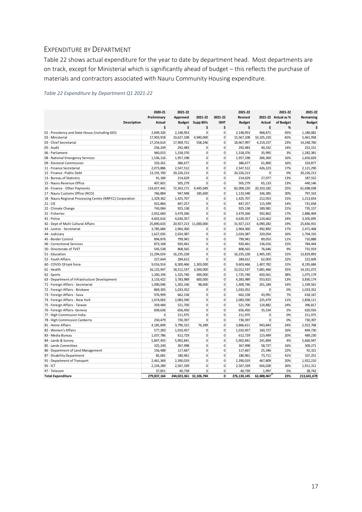## <span id="page-16-0"></span>EXPENDITURE BY DEPARTMENT

Table 22 shows actual expenditure for the year to date by department head. Most departments are on track, except for Ministerial which is significantly ahead of budget – this reflects the purchase of materials and contractors associated with Nauru Community Housing expenditure.

#### *Table 22 Expenditure by Department Q1 2021-22*

|                                                           |                    | 2020-21       | 2021-22                |                       |                | 2021-22       |              | 2021-22             | 2021-22       |
|-----------------------------------------------------------|--------------------|---------------|------------------------|-----------------------|----------------|---------------|--------------|---------------------|---------------|
|                                                           |                    | Preliminary   | Approved               | 2021-22               | 2021-22        | Revised       |              | 2021-22 Actual as % | Remaining     |
|                                                           | <b>Description</b> | <b>Actual</b> | <b>Budget</b>          | <b>Supp Bills</b>     | <b>ISHT</b>    | <b>Budget</b> | Actual       | of Budget           | <b>Budget</b> |
|                                                           |                    | \$            | \$                     | \$                    | \$             | \$            | \$           | %                   | Ś             |
| 01 - Presidency and State House (including GIO)           |                    | 2,699,326     | 2,148,953              | $\mathbf{0}$          | 0              | 2,148,953     | 968,871      | 45%                 | 1,180,082     |
| 02 - Ministerial                                          |                    | 17,903,918    | 10,627,108             | 4,940,000             | 0              | 15,567,108    | 10, 105, 150 | 65%                 | 5,461,958     |
| 03 - Chief Secretariat                                    |                    | 17,254,614    | 17,909,751             | 558,246               | $\mathbf{0}$   | 18,467,997    | 4,219,237    | 23%                 | 14,248,760    |
| 05 - Audit                                                |                    | 256,249       | 292,483                | 0                     | 0              | 292,483       | 40,332       | 14%                 | 252,151       |
| 06 - Parliament                                           |                    | 960,015       | 1,318,376              | $\Omega$              | $\Omega$       | 1,318,376     | 35,995       | 3%                  | 1,282,381     |
| 08 - National Emergency Services                          |                    | 1,536,116     | 1,957,198              | $\mathbf{0}$          | $\mathbf{0}$   | 1,957,198     | 306,369      | 16%                 | 1,650,829     |
| 09 - Electoral Commission                                 |                    | 333,261       | 386,677                | $\mathbf{0}$          | $\mathbf{0}$   | 386,677       | 61,800       | 16%                 | 324,877       |
| 11 - Finance Secretariat                                  |                    | 2,073,886     | 2,547,512              | $\mathbf{0}$          | $\mathbf{0}$   | 2,547,512     | 426,223      | 17%                 | 2,121,290     |
| 12 - Finance - Public Debt                                |                    | 13, 191, 700  | 20,226,213             | $\mathbf 0$           | 0              | 20,226,213    | $\mathbf 0$  | 0%                  | 20,226,213    |
| 13 - Bureau of Statistics                                 |                    | 91,184        | 214,629                | $\mathbf 0$           | $\mathbf{0}$   | 214,629       | 27,077       | 13%                 | 187,552       |
| 15 - Nauru Revenue Office                                 |                    | 407,601       | 505,279                | $\mathbf{0}$          | $\mathbf{0}$   | 505,279       | 65,133       | 13%                 | 440,146       |
| 16 - Finance - Other Payments                             |                    | 114,657,442   | 72,563,171             | 9,445,049             | 0              | 82,008,220    | 20,310,182   | 25%                 | 61,698,038    |
| 17 - Nauru Customs Office (NCO)                           |                    | 766,884       | 947,948                | 185,600               | 0              | 1,133,548     | 336,385      | 30%                 | 797,163       |
| 18 - Nauru Regional Processing Centre (NRPCC) Corporation |                    | 1,329,362     | 1,425,707              | 0                     | 0              | 1,425,707     | 212,053      | 15%                 | 1,213,654     |
| $21 - CIE$                                                |                    | 922,866       | 847,257                | $\Omega$              | $\Omega$       | 847,257       | 115,599      | 14%                 | 731,658       |
| 22 - Climate Change                                       |                    | 743,084       | 925,138                | $\mathbf{0}$          | $\mathbf{0}$   | 925,138       | 189,981      | 21%                 | 735,157       |
| 31 - Fisheries                                            |                    | 2,652,660     | 3,479,266              | $\mathbf{0}$          | 0              | 3,479,266     | 592,862      | 17%                 | 2,886,404     |
| 41 - Police                                               |                    | 4,602,616     | 4,630,357              | $\mathbf{0}$          | $\mathbf{0}$   | 4,630,357     | 1,124,662    | 24%                 | 3,505,695     |
| 42 - Dept of Multi Cultural Affairs                       |                    | 25,890,633    |                        | 20,927,213 11,000,000 | 0              | 31,927,213    | 6,090,282    | 19%                 | 25,836,931    |
| 43 - Justice - Secretariat                                |                    | 3,785,684     | 2,964,360              | 0                     | 0              | 2,964,360     | 492,892      | 17%                 | 2,471,468     |
| 44 - Judiciary                                            |                    | 1,627,035     | 2,024,387              | 0                     | 0              | 2,024,387     | 320,054      | 16%                 | 1,704,333     |
| 45 - Border Control                                       |                    | 894,876       | 799,941                | $\mathbf{0}$          | 0              | 799,941       | 89,053       | 11%                 | 710,888       |
| 46 - Correctional Services                                |                    | 873,168       | 920,461                | $\mathbf{0}$          | 0              | 920.461       | 136,016      | 15%                 | 784,444       |
| 50 - Directorate of TVET                                  |                    | 545,538       | 808,565                | $\mathbf 0$           | 0              | 808,565       | 76,646       | 9%                  | 731,919       |
| 51 - Education                                            |                    | 11,294,024    | 16,235,228             | $\mathbf 0$           | $\mathbf{0}$   | 16,235,228    | 2,405,335    | 15%                 | 13,829,893    |
| 52 - Youth Affairs                                        |                    | 227,644       | 284,612                | $\mathbf{0}$          | $\mathbf 0$    | 284,612       | 62,003       | 22%                 | 222,609       |
| 60 - COVID-19 task force                                  |                    | 9,016,914     | 8,300,466              | 1,303,000             | $\mathbf{0}$   | 9,603,466     | 1,407,782    | 15%                 | 8,195,684     |
| 61 - Health                                               |                    | 16,125,947    | 18,512,537             | 3,500,000             | $\mathbf{0}$   | 22,012,537    | 7,681,466    | 35%                 | 14,331,072    |
| 62 - Sports                                               |                    | 1,260,194     | 1,325,740              | 400,000               | 0              | 1,725,740     | 650,561      | 38%                 | 1,075,179     |
| 63 - Department of Infrastructure Development             |                    | 3,133,422     | 3,783,989              | 600,000               | 0              | 4,383,989     | 553,815      | 13%                 | 3,830,174     |
| 71 - Foreign Affairs - Secretariat                        |                    | 1,090,046     | 1,302,146              | 98,600                | 0              | 1,400,746     | 201,184      | 14%                 | 1,199,561     |
| 72 - Foreign Affairs - Brisbane                           |                    | 869,305       | 1,033,352              | 0                     | 0              | 1,033,352     | $\Omega$     | 0%                  | 1,033,352     |
| 73 - Foreign Affairs - Suva                               |                    | 976,999       | 662,158                | $\mathbf{0}$          | $\mathbf{0}$   | 662,158       | 43,991       | 7%                  | 618,167       |
| 74 - Foreign Affairs - New York                           |                    | 1,674,063     | 2,083,590              | $\mathbf 0$           | 0              | 2,083,590     | 225,479      | 11%                 | 1,858,111     |
| 75 - Foreign Affairs - Taiwan                             |                    | 359,484       | 521,700                | $\mathbf 0$           | $\overline{0}$ | 521,700       | 124,882      | 24%                 | 396,817       |
| 76 - Foreign Affairs- Geneva                              |                    | 609,636       | 656,450                | $\mathbf{0}$          | 0              | 656,450       | 35,534       | 5%                  | 620,916       |
| 77 - High Commission India                                |                    | 0             | 211,975                | $\mathbf 0$           | $\mathbf{0}$   | 211,975       | $\mathbf 0$  | 0%                  | 211,975       |
| 78 - High Commission Canberra                             |                    | 250,479       | 730,397                | 0                     | 0              | 730,397       | $\mathbf{0}$ | 0%                  | 730,397       |
| 81 - Home Affairs                                         |                    | 4,185,849     | 3,790,322              | 76,289                | 0              | 3,866,611     | 943,843      | 24%                 | 2,922,768     |
| 82 - Women's Affairs                                      |                    | 577,283       | 1,010,457              | 0                     | 0              | 1,010,457     | 160,727      | 16%                 | 849,730       |
| 83 - Media Bureau                                         |                    | 1,037,786     | 612,729                | $\mathbf{0}$          | 0              | 612,729       | 123,499      | 20%                 | 489,230       |
| 84 - Lands & Survey                                       |                    | 5,847,455     | 5,902,841              | $\mathbf{0}$          | $\mathbf{0}$   | 5,902,841     | 241,894      | 4%                  | 5,660,947     |
| 85 - Lands Committee                                      |                    | 325,240       | 367,998                | $\mathbf 0$           | 0              | 367,998       | 58,727       | 16%                 | 309,271       |
| 86 - Department of Land Management                        |                    | 156,488       | 117,667                | $\mathbf 0$           | 0              | 117,667       | 25,346       | 22%                 | 92,321        |
| 87 - Disability Department                                |                    | 85,681        | 180,961                | $\mathbf{0}$          | $\mathbf{0}$   | 180,961       | 73,711       | 41%                 | 107,251       |
| 91 - Department of Transport                              |                    | 2,461,369     | 2,390,019              | $\mathbf{0}$          | 0              | 2,390,019     | 467,809      | 20%                 | 1,922,210     |
| 95 - ICT                                                  |                    | 2,234,289     | 2,567,339              | 0                     | 0              | 2,567,339     | 656,028      | 26%                 | 1,911,311     |
| 97 - Telecom                                              |                    | 37,851        | 40,739                 | 0                     | 0              | 40,739        | 1,997        | 5%                  | 38,742        |
| <b>Total Expenditure</b>                                  |                    | 279,837,164   | 244,023,361 32,106,784 |                       | 0              | 276,130,145   | 62,488,467   | 23%                 | 213,641,678   |
|                                                           |                    |               |                        |                       |                |               |              |                     |               |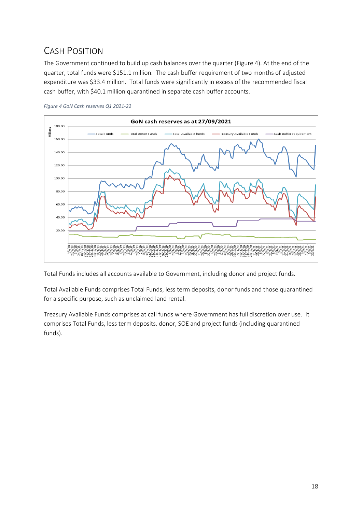# <span id="page-17-0"></span>CASH POSITION

The Government continued to build up cash balances over the quarter (Figure 4). At the end of the quarter, total funds were \$151.1 million. The cash buffer requirement of two months of adjusted expenditure was \$33.4 million. Total funds were significantly in excess of the recommended fiscal cash buffer, with \$40.1 million quarantined in separate cash buffer accounts.





Total Funds includes all accounts available to Government, including donor and project funds.

Total Available Funds comprises Total Funds, less term deposits, donor funds and those quarantined for a specific purpose, such as unclaimed land rental.

Treasury Available Funds comprises at call funds where Government has full discretion over use. It comprises Total Funds, less term deposits, donor, SOE and project funds (including quarantined funds).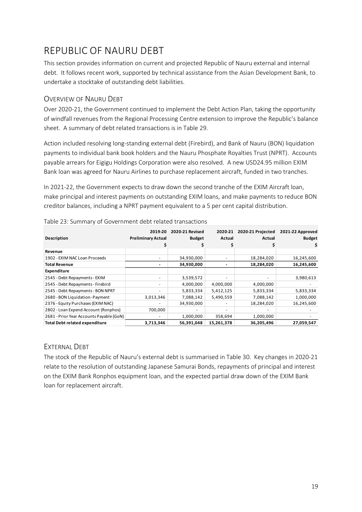# <span id="page-18-0"></span>REPUBLIC OF NAURU DEBT

This section provides information on current and projected Republic of Nauru external and internal debt. It follows recent work, supported by technical assistance from the Asian Development Bank, to undertake a stocktake of outstanding debt liabilities.

## <span id="page-18-1"></span>OVERVIEW OF NAURU DEBT

Over 2020-21, the Government continued to implement the Debt Action Plan, taking the opportunity of windfall revenues from the Regional Processing Centre extension to improve the Republic's balance sheet. A summary of debt related transactions is in Table 29.

Action included resolving long-standing external debt (Firebird), and Bank of Nauru (BON) liquidation payments to individual bank book holders and the Nauru Phosphate Royalties Trust (NPRT). Accounts payable arrears for Eigigu Holdings Corporation were also resolved. A new USD24.95 million EXIM Bank loan was agreed for Nauru Airlines to purchase replacement aircraft, funded in two tranches.

In 2021-22, the Government expects to draw down the second tranche of the EXIM Aircraft loan, make principal and interest payments on outstanding EXIM loans, and make payments to reduce BON creditor balances, including a NPRT payment equivalent to a 5 per cent capital distribution.

| <b>Description</b>                       | 2019-20<br><b>Preliminary Actual</b> | 2020-21 Revised<br><b>Budget</b> | 2020-21<br>Actual        | 2020-21 Projected<br>Actual | 2021-22 Approved<br><b>Budget</b><br>\$ |
|------------------------------------------|--------------------------------------|----------------------------------|--------------------------|-----------------------------|-----------------------------------------|
| Revenue                                  |                                      |                                  |                          |                             |                                         |
| 1902 - EXIM NAC Loan Proceeds            |                                      | 34,930,000                       |                          | 18,284,020                  | 16,245,600                              |
| <b>Total Revenue</b>                     | $\overline{\phantom{a}}$             | 34,930,000                       | $\overline{\phantom{a}}$ | 18,284,020                  | 16,245,600                              |
| <b>Expenditure</b>                       |                                      |                                  |                          |                             |                                         |
| 2545 - Debt Repayments - EXIM            |                                      | 3,539,572                        |                          |                             | 3,980,613                               |
| 2545 - Debt Repayments - Firebird        | $\overline{\phantom{0}}$             | 4,000,000                        | 4,000,000                | 4,000,000                   |                                         |
| 2545 - Debt Repayments - BON NPRT        | $\overline{\phantom{0}}$             | 5,833,334                        | 5,412,125                | 5,833,334                   | 5,833,334                               |
| 2680 - BON Liquidation-Payment           | 3,013,346                            | 7,088,142                        | 5,490,559                | 7,088,142                   | 1,000,000                               |
| 2376 - Equity Purchases (EXIM NAC)       |                                      | 34,930,000                       |                          | 18,284,020                  | 16,245,600                              |
| 2802 - Loan Expend Account (Ronphos)     | 700,000                              |                                  |                          |                             |                                         |
| 2681 - Prior Year Accounts Payable (GoN) | $\overline{\phantom{0}}$             | 1,000,000                        | 358,694                  | 1,000,000                   |                                         |
| <b>Total Debt related expenditure</b>    | 3,713,346                            | 56,391,048                       | 15,261,378               | 36,205,496                  | 27,059,547                              |

## Table 23: Summary of Government debt related transactions

## <span id="page-18-2"></span>EXTERNAL DEBT

The stock of the Republic of Nauru's external debt is summarised in Table 30. Key changes in 2020-21 relate to the resolution of outstanding Japanese Samurai Bonds, repayments of principal and interest on the EXIM Bank Ronphos equipment loan, and the expected partial draw down of the EXIM Bank loan for replacement aircraft.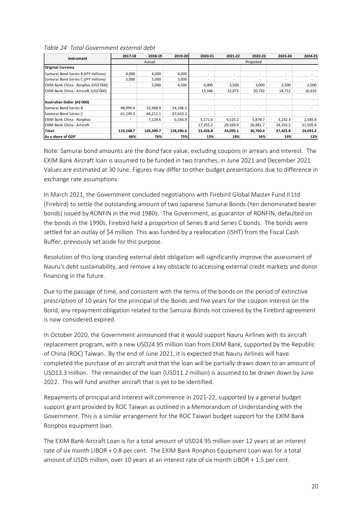#### *Table 24: Total Government external debt*

| <b>Instrument</b>                     | 2017-18   | 2018-19   | 2019-20   | 2020-21  | 2021-22   | 2022-23  | 2023-24                  | 2024-25  |  |
|---------------------------------------|-----------|-----------|-----------|----------|-----------|----------|--------------------------|----------|--|
|                                       |           | Actual    |           |          | Projected |          |                          |          |  |
| <b>Original Currency</b>              |           |           |           |          |           |          |                          |          |  |
| Samurai Bond Series B (JPY millions)  | 4,000     | 4,000     | 4,000     |          |           |          | $\overline{\phantom{a}}$ |          |  |
| Samurai Bond Series C (JPY millions)  | 5,000     | 5,000     | 5,000     |          | ۰.        | ۰.       | $\sim$                   |          |  |
| EXIM Bank China - Ronphos (US\$'000)  |           | 5,000     | 4,500     | 4,000    | 3,500     | 3,000    | 2,500                    | 2,000    |  |
| EXIM Bank China - Aircraft (US\$'000) |           |           |           | 13,346   | 22,871    | 20,792   | 18,712                   | 16,633   |  |
| Australian Dollar (A\$'000)           |           |           |           |          |           |          |                          |          |  |
| Samurai Bond Series B                 | 48,999.4  | 52,968.9  | 54,106.5  |          |           |          | $\overline{\phantom{a}}$ |          |  |
| <b>I</b> Samurai Bond Series C        | 61,249.3  | 66,211.1  | 67,633.2  |          |           |          | $\overline{\phantom{a}}$ |          |  |
| <b>EXIM Bank China - Ronphos</b>      |           | 7,129.6   | 6,556.9   | 5,171.6  | 4,525.2   | 3,878.7  | 3,232.3                  | 2,585.8  |  |
| EXIM Bank China - Aircraft            |           |           |           | 17,255.2 | 29,569.9  | 26,881.7 | 24,193.5                 | 21,505.4 |  |
| Total:                                | 110,248.7 | 126,309.7 | 128,296.6 | 22,426.8 | 34,095.1  | 30,760.4 | 27,425.8                 | 24,091.2 |  |
| As a share of GDP                     | 66%       | 76%       | 75%       | 13%      | 18%       | 16%      | 14%                      | 12%      |  |

Note: Samurai bond amounts are the Bond face value, excluding coupons in arrears and interest. The EXIM Bank Aircraft loan is assumed to be funded in two tranches, in June 2021 and December 2021. Values are estimated at 30 June. Figures may differ to other budget presentations due to difference in exchange rate assumptions.

In March 2021, the Government concluded negotiations with Firebird Global Master Fund II Ltd (Firebird) to settle the outstanding amount of two Japanese Samurai Bonds (Yen denominated bearer bonds) issued by RONFIN in the mid 1980s. The Government, as guarantor of RONFIN, defaulted on the bonds in the 1990s. Firebird held a proportion of Series B and Series C bonds. The bonds were settled for an outlay of \$4 million. This was funded by a reallocation (ISHT) from the Fiscal Cash Buffer, previously set aside for this purpose.

Resolution of this long standing external debt obligation will significantly improve the assessment of Nauru's debt sustainability, and remove a key obstacle to accessing external credit markets and donor financing in the future.

Due to the passage of time, and consistent with the terms of the bonds on the period of extinctive prescription of 10 years for the principal of the Bonds and five years for the coupon interest on the Bond, any repayment obligation related to the Samurai Bonds not covered by the Firebird agreement is now considered expired.

In October 2020, the Government announced that it would support Nauru Airlines with its aircraft replacement program, with a new USD24.95 million loan from EXIM Bank, supported by the Republic of China (ROC) Taiwan. By the end of June 2021, it is expected that Nauru Airlines will have completed the purchase of an aircraft and that the loan will be partially drawn down to an amount of USD13.3 million. The remainder of the loan (USD11.2 million) is assumed to be drawn down by June 2022. This will fund another aircraft that is yet to be identified.

Repayments of principal and interest will commence in 2021-22, supported by a general budget support grant provided by ROC Taiwan as outlined in a Memorandum of Understanding with the Government. This is a similar arrangement for the ROC Taiwan budget support for the EXIM Bank Ronphos equipment loan.

The EXIM Bank Aircraft Loan is for a total amount of USD24.95 million over 12 years at an interest rate of six month LIBOR + 0.8 per cent. The EXIM Bank Ronphos Equipment Loan was for a total amount of USD5 million, over 10 years at an interest rate of six month LIBOR + 1.5 per cent.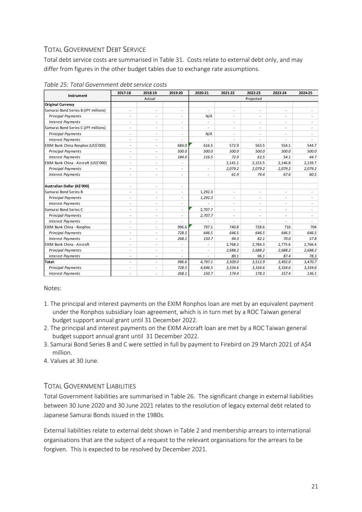## <span id="page-20-0"></span>TOTAL GOVERNMENT DEBT SERVICE

Total debt service costs are summarised in Table 31. Costs relate to external debt only, and may differ from figures in the other budget tables due to exchange rate assumptions.

|                                       | 2017-18                      | 2018-19                  | 2019-20                  | 2020-21                  | 2021-22                  | 2022-23                  | 2023-24                  | 2024-25                  |
|---------------------------------------|------------------------------|--------------------------|--------------------------|--------------------------|--------------------------|--------------------------|--------------------------|--------------------------|
| Instrument                            |                              | Actual                   |                          | Projected                |                          |                          |                          |                          |
| <b>Original Currency</b>              |                              |                          |                          |                          |                          |                          |                          |                          |
| Samurai Bond Series B (JPY millions)  | $\overline{a}$               | $\overline{a}$           | $\overline{\phantom{a}}$ | $\overline{\phantom{a}}$ | $\sim$                   | $\overline{a}$           | $\overline{\phantom{a}}$ |                          |
| <b>Principal Payments</b>             | $\overline{a}$               | $\overline{a}$           |                          | N/A                      | $\overline{a}$           | $\overline{a}$           | ٠                        |                          |
| <b>Interest Payments</b>              |                              | $\overline{\phantom{a}}$ |                          | $\overline{\phantom{a}}$ | $\overline{\phantom{a}}$ | $\overline{\phantom{a}}$ | $\overline{\phantom{a}}$ |                          |
| Samurai Bond Series C (JPY millions)  | $\overline{a}$               | $\overline{\phantom{a}}$ | $\overline{\phantom{a}}$ | $\overline{\phantom{a}}$ | $\sim$                   | $\overline{\phantom{a}}$ | $\overline{\phantom{a}}$ |                          |
| <b>Principal Payments</b>             |                              |                          |                          | N/A                      |                          | ٠                        |                          |                          |
| <b>Interest Payments</b>              | $\overline{a}$               | $\overline{a}$           |                          |                          |                          |                          |                          |                          |
| EXIM Bank China Ronphos (US\$'000)    | $\overline{a}$               | $\overline{\phantom{a}}$ | 684.0                    | 616.5                    | 572.9                    | 563.5                    | 554.1                    | 544.7                    |
| <b>Principal Payments</b>             | ٠                            | $\overline{\phantom{0}}$ | 500.0                    | 500.0                    | 500.0                    | 500.0                    | 500.0                    | 500.0                    |
| <b>Interest Payments</b>              |                              | $\overline{\phantom{a}}$ | 184.0                    | 116.5                    | 72.9                     | 63.5                     | 54.1                     | 44.7                     |
| EXIM Bank China - Aircraft (US\$'000) | ۰                            | $\overline{\phantom{a}}$ |                          |                          | 2,141.1                  | 2,153.5                  | 2,146.8                  | 2,139.7                  |
| <b>Principal Payments</b>             | $\overline{a}$               |                          |                          | $\overline{\phantom{a}}$ | 2,079.2                  | 2,079.2                  | 2,079.2                  | 2,079.2                  |
| <b>Interest Payments</b>              | ۰                            | $\overline{\phantom{a}}$ | $\overline{\phantom{a}}$ |                          | 61.9                     | 74.4                     | 67.6                     | 60.5                     |
| Australian Dollar (A\$'000)           | $\overline{\phantom{a}}$     | $\overline{\phantom{0}}$ | $\overline{\phantom{a}}$ |                          |                          |                          |                          |                          |
| Samurai Bond Series B                 | $\overline{\phantom{0}}$     | $\overline{\phantom{a}}$ | $\overline{\phantom{a}}$ | 1,292.3                  | $\overline{a}$           | $\overline{\phantom{a}}$ | $\overline{\phantom{a}}$ |                          |
| <b>Principal Payments</b>             |                              |                          |                          | 1,292.3                  |                          | $\overline{a}$           | ٠                        |                          |
| <b>Interest Payments</b>              | $\overline{\phantom{0}}$     | $\overline{\phantom{a}}$ | $\overline{\phantom{a}}$ |                          | $\overline{\phantom{a}}$ | $\overline{a}$           | $\overline{\phantom{a}}$ |                          |
| Samurai Bond Series C                 | $\overline{a}$               | $\overline{a}$           | $\overline{\phantom{a}}$ | 2,707.7                  | $\sim$                   | $\overline{\phantom{a}}$ | $\overline{\phantom{0}}$ |                          |
| <b>Principal Payments</b>             | $\overline{a}$               | $\overline{\phantom{a}}$ |                          | 2,707.7                  | $\overline{\phantom{a}}$ | $\overline{a}$           | ۰                        |                          |
| <b>Interest Payments</b>              | ۰                            | $\overline{\phantom{a}}$ |                          | $\overline{a}$           | $\overline{\phantom{a}}$ | $\overline{\phantom{a}}$ | $\overline{\phantom{a}}$ | $\overline{\phantom{a}}$ |
| EXIM Bank China - Ronphos             |                              |                          | 996.6                    | 797.1                    | 740.8                    | 728.6                    | 716                      | 704                      |
| <b>Principal Payments</b>             | $\overline{a}$               | $\overline{\phantom{a}}$ | 728.5                    | 646.5                    | 646.5                    | 646.5                    | 646.5                    | 646.5                    |
| <b>Interest Payments</b>              | ۰                            | $\overline{\phantom{0}}$ | 268.1                    | 150.7                    | 94.3                     | 82.1                     | 70.0                     | 57.8                     |
| <b>EXIM Bank China - Aircraft</b>     | ۰                            |                          |                          | $\overline{\phantom{0}}$ | 2,768.2                  | 2,784.3                  | 2,775.6                  | 2,766.4                  |
| <b>Principal Payments</b>             | ۰                            | $\overline{a}$           |                          |                          | 2,688.2                  | 2,688.2                  | 2,688.2                  | 2,688.2                  |
| <b>Interest Payments</b>              | ۰                            | $\overline{\phantom{a}}$ |                          |                          | 80.1                     | 96.1                     | 87.4                     | 78.3                     |
| Total:                                | ۰                            | $\overline{\phantom{0}}$ | 996.6                    | 4,797.1                  | 3,509.0                  | 3,512.9                  | 3,492.0                  | 3,470.7                  |
| <b>Principal Payments</b>             | $\qquad \qquad \blacksquare$ | $\overline{a}$           | 728.5                    | 4,646.5                  | 3,334.6                  | 3,334.6                  | 3,334.6                  | 3,334.6                  |
| <b>Interest Payments</b>              |                              |                          | 268.1                    | 150.7                    | 174.4                    | 178.3                    | 157.4                    | 136.1                    |

#### *Table 25: Total Government debt service costs*

#### Notes:

- 1. The principal and interest payments on the EXIM Ronphos loan are met by an equivalent payment under the Ronphos subsidiary loan agreement, which is in turn met by a ROC Taiwan general budget support annual grant until 31 December 2022.
- 2. The principal and interest payments on the EXIM Aircraft loan are met by a ROC Taiwan general budget support annual grant until 31 December 2022.
- 3. Samurai Bond Series B and C were settled in full by payment to Firebird on 29 March 2021 of A\$4 million.
- 4. Values at 30 June.

## <span id="page-20-1"></span>TOTAL GOVERNMENT LIABILITIES

Total Government liabilities are summarised in Table 26. The significant change in external liabilities between 30 June 2020 and 30 June 2021 relates to the resolution of legacy external debt related to Japanese Samurai Bonds issued in the 1980s.

External liabilities relate to external debt shown in Table 2 and membership arrears to international organisations that are the subject of a request to the relevant organisations for the arrears to be forgiven. This is expected to be resolved by December 2021.